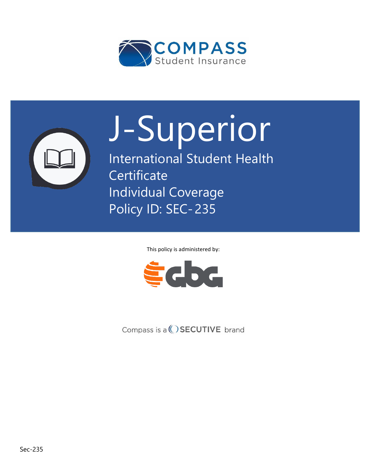



# **International Student Insurance**  J-Superior

**Program Student Health Certificate** Individual Coverage Policy ID: SEC- 235

This policy is administered by:



Compass is  $a()$  SECUTIVE brand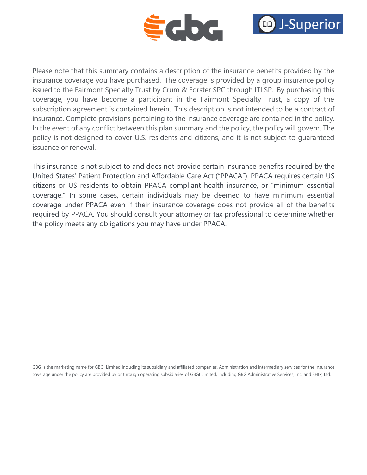



Please note that this summary contains a description of the insurance benefits provided by the insurance coverage you have purchased. The coverage is provided by a group insurance policy issued to the Fairmont Specialty Trust by Crum & Forster SPC through ITI SP. By purchasing this coverage, you have become a participant in the Fairmont Specialty Trust, a copy of the subscription agreement is contained herein. This description is not intended to be a contract of insurance. Complete provisions pertaining to the insurance coverage are contained in the policy. In the event of any conflict between this plan summary and the policy, the policy will govern. The policy is not designed to cover U.S. residents and citizens, and it is not subject to guaranteed issuance or renewal.

This insurance is not subject to and does not provide certain insurance benefits required by the United States' Patient Protection and Affordable Care Act ("PPACA"). PPACA requires certain US citizens or US residents to obtain PPACA compliant health insurance, or "minimum essential coverage." In some cases, certain individuals may be deemed to have minimum essential coverage under PPACA even if their insurance coverage does not provide all of the benefits required by PPACA. You should consult your attorney or tax professional to determine whether the policy meets any obligations you may have under PPACA.

GBG is the marketing name for GBGI Limited including its subsidiary and affiliated companies. Administration and intermediary services for the insurance coverage under the policy are provided by or through operating subsidiaries of GBGI Limited, including GBG Administrative Services, Inc. and SHIP, Ltd.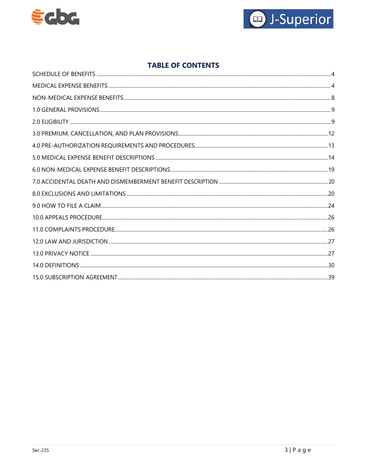



# **TABLE OF CONTENTS**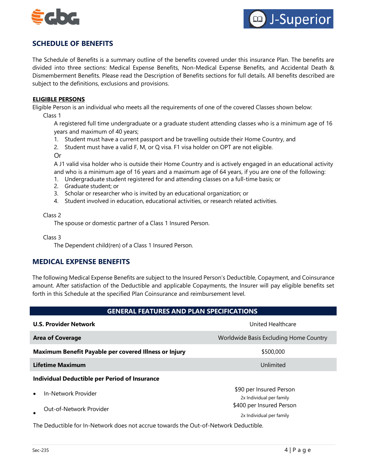



# <span id="page-3-0"></span>**SCHEDULE OF BENEFITS**

The Schedule of Benefits is a summary outline of the benefits covered under this insurance Plan. The benefits are divided into three sections: Medical Expense Benefits, Non-Medical Expense Benefits, and Accidental Death & Dismemberment Benefits. Please read the Description of Benefits sections for full details. All benefits described are subject to the definitions, exclusions and provisions.

#### **ELIGIBLE PERSONS**

Eligible Person is an individual who meets all the requirements of one of the covered Classes shown below: Class 1

A registered full time undergraduate or a graduate student attending classes who is a minimum age of 16 years and maximum of 40 years;

- 1. Student must have a current passport and be travelling outside their Home Country, and
- 2. Student must have a valid F, M, or Q visa. F1 visa holder on OPT are not eligible.

Or

A J1 valid visa holder who is outside their Home Country and is actively engaged in an educational activity and who is a minimum age of 16 years and a maximum age of 64 years, if you are one of the following:

- 1. Undergraduate student registered for and attending classes on a full-time basis; or
- 2. Graduate student; or
- 3. Scholar or researcher who is invited by an educational organization; or
- 4. Student involved in education, educational activities, or research related activities.

#### Class 2

The spouse or domestic partner of a Class 1 Insured Person.

Class 3

The Dependent child(ren) of a Class 1 Insured Person.

# <span id="page-3-1"></span>**MEDICAL EXPENSE BENEFITS**

The following Medical Expense Benefits are subject to the Insured Person's Deductible, Copayment, and Coinsurance amount. After satisfaction of the Deductible and applicable Copayments, the Insurer will pay eligible benefits set forth in this Schedule at the specified Plan Coinsurance and reimbursement level.

## **GENERAL FEATURES AND PLAN SPECIFICATIONS**

| <b>U.S. Provider Network</b>                                                                                   | United Healthcare                                                               |  |
|----------------------------------------------------------------------------------------------------------------|---------------------------------------------------------------------------------|--|
| <b>Area of Coverage</b>                                                                                        | Worldwide Basis Excluding Home Country                                          |  |
| Maximum Benefit Payable per covered Illness or Injury                                                          | \$500,000                                                                       |  |
| <b>Lifetime Maximum</b><br>Unlimited                                                                           |                                                                                 |  |
| Individual Deductible per Period of Insurance                                                                  |                                                                                 |  |
| In-Network Provider<br>$\bullet$<br>Out-of-Network Provider                                                    | \$90 per Insured Person<br>2x Individual per family<br>\$400 per Insured Person |  |
| بملوانهم بالممل باسمين بالملاطم بالبرام وملاح واستمتحت وممسوح المواد والمستباط والملاحظ والمائات بالمعال وعالى | 2x Individual per family                                                        |  |

The Deductible for In-Network does not accrue towards the Out-of-Network Deductible.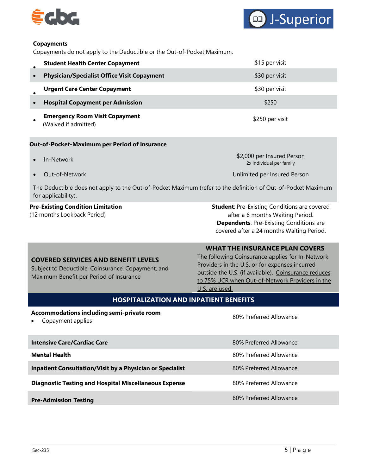



#### **Copayments**

Copayments do not apply to the Deductible or the Out-of-Pocket Maximum.

| <b>Student Health Center Copayment</b>                                                       | \$15 per visit  |
|----------------------------------------------------------------------------------------------|-----------------|
| <b>Physician/Specialist Office Visit Copayment</b><br>$\bullet$                              | \$30 per visit  |
| <b>Urgent Care Center Copayment</b>                                                          | \$30 per visit  |
| <b>Hospital Copayment per Admission</b>                                                      | \$250           |
| <b>Emergency Room Visit Copayment</b><br>$\alpha + i$ $\alpha + i$ $\alpha + i$ $\alpha + i$ | \$250 per visit |

(Waived if admitted)

#### **Out-of-Pocket-Maximum per Period of Insurance**

- In-Network
- Out-of-Network

\$2,000 per Insured Person 2x Individual per family

Unlimited per Insured Person

The Deductible does not apply to the Out-of-Pocket Maximum (refer to the definition of Out-of-Pocket Maximum for applicability).

# **Pre-Existing Condition Limitation**

(12 months Lookback Period)

**Student**: Pre-Existing Conditions are covered after a 6 months Waiting Period. **Dependents**: Pre-Existing Conditions are covered after a 24 months Waiting Period.

#### **WHAT THE INSURANCE PLAN COVERS**

### **COVERED SERVICES AND BENEFIT LEVELS**

Subject to Deductible, Coinsurance, Copayment, and Maximum Benefit per Period of Insurance

The following Coinsurance applies for In-Network Providers in the U.S. or for expenses incurred outside the U.S. (if available). Coinsurance reduces to 75% UCR when Out-of-Network Providers in the U.S. are used.

## **HOSPITALIZATION AND INPATIENT BENEFITS**

#### **Accommodations including semi-private room**

**• Copayment applies**<br>Copayment applies

| 80% Preferred Allowance |
|-------------------------|
| 80% Preferred Allowance |
| 80% Preferred Allowance |
| 80% Preferred Allowance |
| 80% Preferred Allowance |
|                         |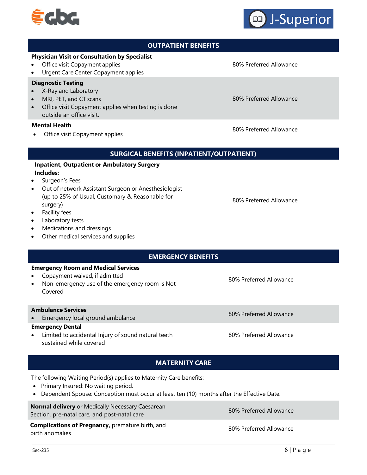# **OUTPATIENT BENEFITS**

## **Physician Visit or Consultation by Specialist**

- Office visit Copayment applies
- Urgent Care Center Copayment applies

#### **Diagnostic Testing**

- X-Ray and Laboratory
- MRI, PET, and CT scans
- Office visit Copayment applies when testing is done outside an office visit.

#### **Mental Health**

• Office visit Copayment applies

## **SURGICAL BENEFITS (INPATIENT/OUTPATIENT)**

## **Inpatient, Outpatient or Ambulatory Surgery Includes:**

- Surgeon's Fees
- Out of network Assistant Surgeon or Anesthesiologist (up to 25% of Usual, Customary & Reasonable for surgery)
- Facility fees
- Laboratory tests
- Medications and dressings
- Other medical services and supplies
- **EMERGENCY BENEFITS**

#### **Emergency Room and Medical Services**

- Copayment waived, if admitted
- Non-emergency use of the emergency room is Not Covered

#### **Ambulance Services**

• Emergency local ground ambulance 80% Preferred Allowance 80% Preferred Allowance

## **Emergency Dental**

• Limited to accidental Injury of sound natural teeth sustained while covered

80% Preferred Allowance

# **MATERNITY CARE**

The following Waiting Period(s) applies to Maternity Care benefits:

- Primary Insured: No waiting period.
- Dependent Spouse: Conception must occur at least ten (10) months after the Effective Date.

**Normal delivery** or Medically Necessary Caesarean Section, pre-natal care, and post-natal care 80% Preferred Allowance 80% Preferred Allowance

**Complications of Pregnancy,** premature birth, and birth anomalies

80% Preferred Allowance

80% Preferred Allowance

80% Preferred Allowance

80% Preferred Allowance

80% Preferred Allowance

80% Preferred Allowance



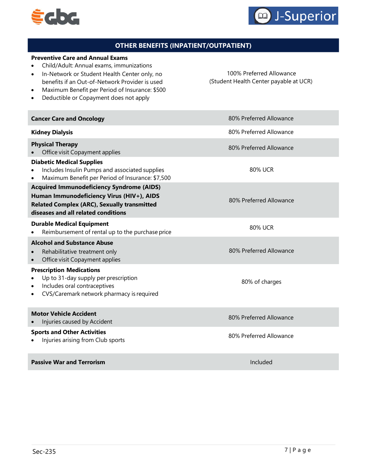



# **OTHER BENEFITS (INPATIENT/OUTPATIENT)**

#### **Preventive Care and Annual Exams**

- Child/Adult: Annual exams, immunizations
- In-Network or Student Health Center only, no benefits if an Out-of-Network Provider is used

100% Preferred Allowance (Student Health Center payable at UCR)

• Maximum Benefit per Period of Insurance: \$500 • Deductible or Copayment does not apply

| <b>Cancer Care and Oncology</b>                                                                                                                                                            | 80% Preferred Allowance |
|--------------------------------------------------------------------------------------------------------------------------------------------------------------------------------------------|-------------------------|
| <b>Kidney Dialysis</b>                                                                                                                                                                     | 80% Preferred Allowance |
| <b>Physical Therapy</b><br>Office visit Copayment applies                                                                                                                                  | 80% Preferred Allowance |
| <b>Diabetic Medical Supplies</b><br>Includes Insulin Pumps and associated supplies<br>Maximum Benefit per Period of Insurance: \$7,500                                                     | 80% UCR                 |
| <b>Acquired Immunodeficiency Syndrome (AIDS)</b><br>Human Immunodeficiency Virus (HIV+), AIDS<br><b>Related Complex (ARC), Sexually transmitted</b><br>diseases and all related conditions | 80% Preferred Allowance |
| <b>Durable Medical Equipment</b><br>Reimbursement of rental up to the purchase price                                                                                                       | <b>80% UCR</b>          |
| <b>Alcohol and Substance Abuse</b><br>Rehabilitative treatment only<br>Office visit Copayment applies                                                                                      | 80% Preferred Allowance |
| <b>Prescription Medications</b><br>Up to 31-day supply per prescription<br>Includes oral contraceptives<br>CVS/Caremark network pharmacy is required                                       | 80% of charges          |
| <b>Motor Vehicle Accident</b><br>Injuries caused by Accident                                                                                                                               | 80% Preferred Allowance |
| <b>Sports and Other Activities</b><br>Injuries arising from Club sports                                                                                                                    | 80% Preferred Allowance |
| <b>Passive War and Terrorism</b>                                                                                                                                                           | Included                |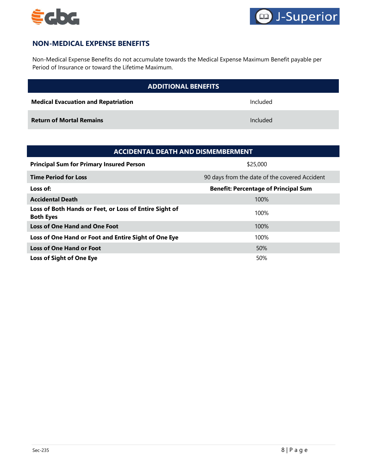



# <span id="page-7-0"></span>**NON-MEDICAL EXPENSE BENEFITS**

Non-Medical Expense Benefits do not accumulate towards the Medical Expense Maximum Benefit payable per Period of Insurance or toward the Lifetime Maximum.

| <b>ADDITIONAL BENEFITS</b>                 |          |  |
|--------------------------------------------|----------|--|
| <b>Medical Evacuation and Repatriation</b> | Included |  |
| <b>Return of Mortal Remains</b>            | Included |  |

| <b>ACCIDENTAL DEATH AND DISMEMBERMENT</b>                                  |                                               |  |
|----------------------------------------------------------------------------|-----------------------------------------------|--|
| <b>Principal Sum for Primary Insured Person</b>                            | \$25,000                                      |  |
| <b>Time Period for Loss</b>                                                | 90 days from the date of the covered Accident |  |
| Loss of:                                                                   | <b>Benefit: Percentage of Principal Sum</b>   |  |
| <b>Accidental Death</b>                                                    | 100%                                          |  |
| Loss of Both Hands or Feet, or Loss of Entire Sight of<br><b>Both Eyes</b> | 100%                                          |  |
| <b>Loss of One Hand and One Foot</b>                                       | 100%                                          |  |
| Loss of One Hand or Foot and Entire Sight of One Eye                       | 100%                                          |  |
| <b>Loss of One Hand or Foot</b>                                            | 50%                                           |  |
| <b>Loss of Sight of One Eye</b>                                            | 50%                                           |  |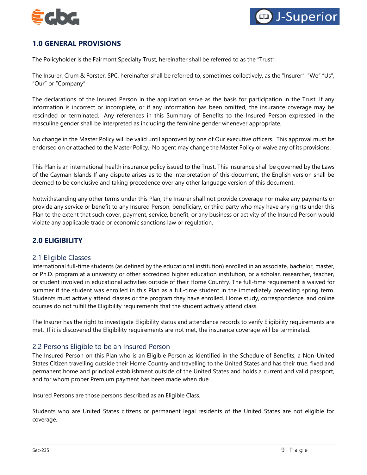



# <span id="page-8-0"></span>**1.0 GENERAL PROVISIONS**

The Policyholder is the Fairmont Specialty Trust, hereinafter shall be referred to as the "Trust".

The Insurer, Crum & Forster, SPC, hereinafter shall be referred to, sometimes collectively, as the "Insurer", "We" "Us", "Our" or "Company".

The declarations of the Insured Person in the application serve as the basis for participation in the Trust. If any information is incorrect or incomplete, or if any information has been omitted, the insurance coverage may be rescinded or terminated. Any references in this Summary of Benefits to the Insured Person expressed in the masculine gender shall be interpreted as including the feminine gender whenever appropriate.

No change in the Master Policy will be valid until approved by one of Our executive officers. This approval must be endorsed on or attached to the Master Policy. No agent may change the Master Policy or waive any of its provisions.

This Plan is an international health insurance policy issued to the Trust. This insurance shall be governed by the Laws of the Cayman Islands If any dispute arises as to the interpretation of this document, the English version shall be deemed to be conclusive and taking precedence over any other language version of this document.

Notwithstanding any other terms under this Plan, the Insurer shall not provide coverage nor make any payments or provide any service or benefit to any Insured Person, beneficiary, or third party who may have any rights under this Plan to the extent that such cover, payment, service, benefit, or any business or activity of the Insured Person would violate any applicable trade or economic sanctions law or regulation.

# <span id="page-8-1"></span>**2.0 ELIGIBILITY**

## 2.1 Eligible Classes

International full-time students (as defined by the educational institution) enrolled in an associate, bachelor, master, or Ph.D. program at a university or other accredited higher education institution, or a scholar, researcher, teacher, or student involved in educational activities outside of their Home Country. The full-time requirement is waived for summer if the student was enrolled in this Plan as a full-time student in the immediately preceding spring term. Students must actively attend classes or the program they have enrolled. Home study, correspondence, and online courses do not fulfill the Eligibility requirements that the student actively attend class.

The Insurer has the right to investigate Eligibility status and attendance records to verify Eligibility requirements are met. If it is discovered the Eligibility requirements are not met, the insurance coverage will be terminated.

#### 2.2 Persons Eligible to be an Insured Person

The Insured Person on this Plan who is an Eligible Person as identified in the Schedule of Benefits, a Non-United States Citizen travelling outside their Home Country and travelling to the United States and has their true, fixed and permanent home and principal establishment outside of the United States and holds a current and valid passport, and for whom proper Premium payment has been made when due.

Insured Persons are those persons described as an Eligible Class.

Students who are United States citizens or permanent legal residents of the United States are not eligible for coverage.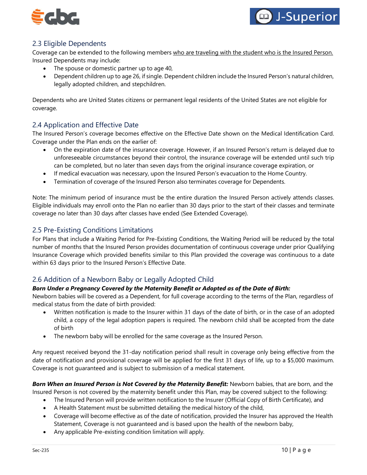



# 2.3 Eligible Dependents

Coverage can be extended to the following members who are traveling with the student who is the Insured Person. Insured Dependents may include:

- The spouse or domestic partner up to age 40,
- Dependent children up to age 26, if single. Dependent children include the Insured Person's natural children, legally adopted children, and stepchildren.

Dependents who are United States citizens or permanent legal residents of the United States are not eligible for coverage.

# 2.4 Application and Effective Date

The Insured Person's coverage becomes effective on the Effective Date shown on the Medical Identification Card. Coverage under the Plan ends on the earlier of:

- On the expiration date of the insurance coverage. However, if an Insured Person's return is delayed due to unforeseeable circumstances beyond their control, the insurance coverage will be extended until such trip can be completed, but no later than seven days from the original insurance coverage expiration, or
- If medical evacuation was necessary, upon the Insured Person's evacuation to the Home Country.
- Termination of coverage of the Insured Person also terminates coverage for Dependents.

Note: The minimum period of insurance must be the entire duration the Insured Person actively attends classes. Eligible individuals may enroll onto the Plan no earlier than 30 days prior to the start of their classes and terminate coverage no later than 30 days after classes have ended (See Extended Coverage).

## 2.5 Pre-Existing Conditions Limitations

For Plans that include a Waiting Period for Pre-Existing Conditions, the Waiting Period will be reduced by the total number of months that the Insured Person provides documentation of continuous coverage under prior Qualifying Insurance Coverage which provided benefits similar to this Plan provided the coverage was continuous to a date within 63 days prior to the Insured Person's Effective Date.

# 2.6 Addition of a Newborn Baby or Legally Adopted Child

### *Born Under a Pregnancy Covered by the Maternity Benefit or Adopted as of the Date of Birth:*

Newborn babies will be covered as a Dependent, for full coverage according to the terms of the Plan, regardless of medical status from the date of birth provided:

- Written notification is made to the Insurer within 31 days of the date of birth, or in the case of an adopted child, a copy of the legal adoption papers is required. The newborn child shall be accepted from the date of birth
- The newborn baby will be enrolled for the same coverage as the Insured Person.

Any request received beyond the 31-day notification period shall result in coverage only being effective from the date of notification and provisional coverage will be applied for the first 31 days of life, up to a \$5,000 maximum. Coverage is not guaranteed and is subject to submission of a medical statement.

*Born When an Insured Person is Not Covered by the Maternity Benefit:* Newborn babies, that are born, and the Insured Person is not covered by the maternity benefit under this Plan, may be covered subject to the following:

- The Insured Person will provide written notification to the Insurer (Official Copy of Birth Certificate), and
- A Health Statement must be submitted detailing the medical history of the child,
- Coverage will become effective as of the date of notification, provided the Insurer has approved the Health Statement, Coverage is not guaranteed and is based upon the health of the newborn baby,
- Any applicable Pre-existing condition limitation will apply.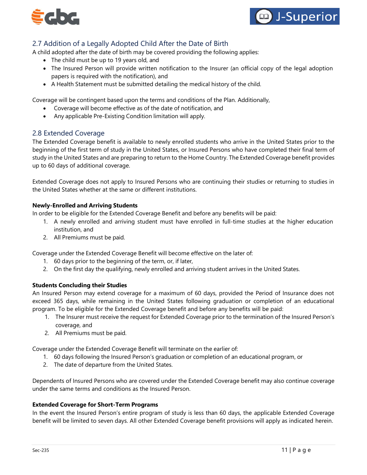



# 2.7 Addition of a Legally Adopted Child After the Date of Birth

A child adopted after the date of birth may be covered providing the following applies:

- The child must be up to 19 years old, and
- The Insured Person will provide written notification to the Insurer (an official copy of the legal adoption papers is required with the notification), and
- A Health Statement must be submitted detailing the medical history of the child.

Coverage will be contingent based upon the terms and conditions of the Plan. Additionally,

- Coverage will become effective as of the date of notification, and
- Any applicable Pre-Existing Condition limitation will apply.

## 2.8 Extended Coverage

The Extended Coverage benefit is available to newly enrolled students who arrive in the United States prior to the beginning of the first term of study in the United States, or Insured Persons who have completed their final term of study in the United States and are preparing to return to the Home Country. The Extended Coverage benefit provides up to 60 days of additional coverage.

Extended Coverage does not apply to Insured Persons who are continuing their studies or returning to studies in the United States whether at the same or different institutions.

#### **Newly-Enrolled and Arriving Students**

In order to be eligible for the Extended Coverage Benefit and before any benefits will be paid:

- 1. A newly enrolled and arriving student must have enrolled in full-time studies at the higher education institution, and
- 2. All Premiums must be paid.

Coverage under the Extended Coverage Benefit will become effective on the later of:

- 1. 60 days prior to the beginning of the term, or, if later,
- 2. On the first day the qualifying, newly enrolled and arriving student arrives in the United States.

#### **Students Concluding their Studies**

An Insured Person may extend coverage for a maximum of 60 days, provided the Period of Insurance does not exceed 365 days, while remaining in the United States following graduation or completion of an educational program. To be eligible for the Extended Coverage benefit and before any benefits will be paid:

- 1. The Insurer must receive the request for Extended Coverage prior to the termination of the Insured Person's coverage, and
- 2. All Premiums must be paid.

Coverage under the Extended Coverage Benefit will terminate on the earlier of:

- 1. 60 days following the Insured Person's graduation or completion of an educational program, or
- 2. The date of departure from the United States.

Dependents of Insured Persons who are covered under the Extended Coverage benefit may also continue coverage under the same terms and conditions as the Insured Person.

#### **Extended Coverage for Short-Term Programs**

In the event the Insured Person's entire program of study is less than 60 days, the applicable Extended Coverage benefit will be limited to seven days. All other Extended Coverage benefit provisions will apply as indicated herein.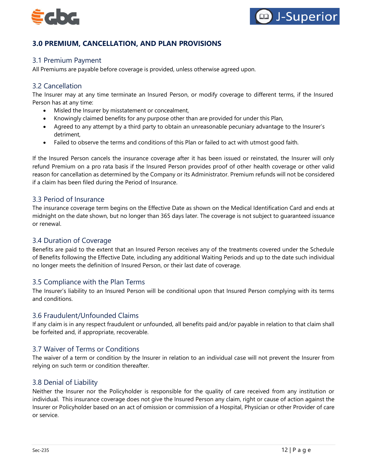



# <span id="page-11-0"></span>**3.0 PREMIUM, CANCELLATION, AND PLAN PROVISIONS**

## 3.1 Premium Payment

All Premiums are payable before coverage is provided, unless otherwise agreed upon.

## 3.2 Cancellation

The Insurer may at any time terminate an Insured Person, or modify coverage to different terms, if the Insured Person has at any time:

- Misled the Insurer by misstatement or concealment,
- Knowingly claimed benefits for any purpose other than are provided for under this Plan,
- Agreed to any attempt by a third party to obtain an unreasonable pecuniary advantage to the Insurer's detriment,
- Failed to observe the terms and conditions of this Plan or failed to act with utmost good faith.

If the Insured Person cancels the insurance coverage after it has been issued or reinstated, the Insurer will only refund Premium on a pro rata basis if the Insured Person provides proof of other health coverage or other valid reason for cancellation as determined by the Company or its Administrator. Premium refunds will not be considered if a claim has been filed during the Period of Insurance.

## 3.3 Period of Insurance

The insurance coverage term begins on the Effective Date as shown on the Medical Identification Card and ends at midnight on the date shown, but no longer than 365 days later. The coverage is not subject to guaranteed issuance or renewal.

### 3.4 Duration of Coverage

Benefits are paid to the extent that an Insured Person receives any of the treatments covered under the Schedule of Benefits following the Effective Date, including any additional Waiting Periods and up to the date such individual no longer meets the definition of Insured Person, or their last date of coverage.

### 3.5 Compliance with the Plan Terms

The Insurer's liability to an Insured Person will be conditional upon that Insured Person complying with its terms and conditions.

#### 3.6 Fraudulent/Unfounded Claims

If any claim is in any respect fraudulent or unfounded, all benefits paid and/or payable in relation to that claim shall be forfeited and, if appropriate, recoverable.

#### 3.7 Waiver of Terms or Conditions

The waiver of a term or condition by the Insurer in relation to an individual case will not prevent the Insurer from relying on such term or condition thereafter.

#### 3.8 Denial of Liability

Neither the Insurer nor the Policyholder is responsible for the quality of care received from any institution or individual. This insurance coverage does not give the Insured Person any claim, right or cause of action against the Insurer or Policyholder based on an act of omission or commission of a Hospital, Physician or other Provider of care or service.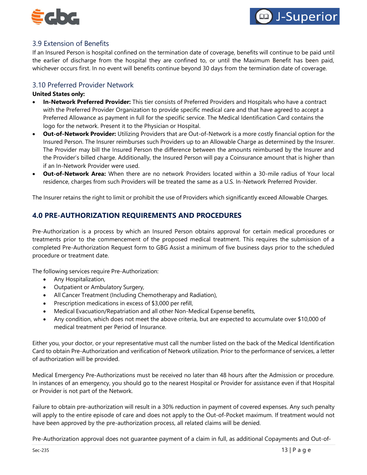



# 3.9 Extension of Benefits

If an Insured Person is hospital confined on the termination date of coverage, benefits will continue to be paid until the earlier of discharge from the hospital they are confined to, or until the Maximum Benefit has been paid, whichever occurs first. In no event will benefits continue beyond 30 days from the termination date of coverage.

## 3.10 Preferred Provider Network

#### **United States only:**

- **In-Network Preferred Provider:** This tier consists of Preferred Providers and Hospitals who have a contract with the Preferred Provider Organization to provide specific medical care and that have agreed to accept a Preferred Allowance as payment in full for the specific service. The Medical Identification Card contains the logo for the network. Present it to the Physician or Hospital.
- **Out-of-Network Provider:** Utilizing Providers that are Out-of-Network is a more costly financial option for the Insured Person. The Insurer reimburses such Providers up to an Allowable Charge as determined by the Insurer. The Provider may bill the Insured Person the difference between the amounts reimbursed by the Insurer and the Provider's billed charge. Additionally, the Insured Person will pay a Coinsurance amount that is higher than if an In-Network Provider were used.
- **Out-of-Network Area:** When there are no network Providers located within a 30-mile radius of Your local residence, charges from such Providers will be treated the same as a U.S. In-Network Preferred Provider.

The Insurer retains the right to limit or prohibit the use of Providers which significantly exceed Allowable Charges.

# <span id="page-12-0"></span>**4.0 PRE-AUTHORIZATION REQUIREMENTS AND PROCEDURES**

Pre-Authorization is a process by which an Insured Person obtains approval for certain medical procedures or treatments prior to the commencement of the proposed medical treatment. This requires the submission of a completed Pre-Authorization Request form to GBG Assist a minimum of five business days prior to the scheduled procedure or treatment date.

The following services require Pre-Authorization:

- Any Hospitalization,
- Outpatient or Ambulatory Surgery,
- All Cancer Treatment (Including Chemotherapy and Radiation),
- Prescription medications in excess of \$3,000 per refill,
- Medical Evacuation/Repatriation and all other Non-Medical Expense benefits,
- Any condition, which does not meet the above criteria, but are expected to accumulate over \$10,000 of medical treatment per Period of Insurance.

Either you, your doctor, or your representative must call the number listed on the back of the Medical Identification Card to obtain Pre-Authorization and verification of Network utilization. Prior to the performance of services, a letter of authorization will be provided.

Medical Emergency Pre-Authorizations must be received no later than 48 hours after the Admission or procedure. In instances of an emergency, you should go to the nearest Hospital or Provider for assistance even if that Hospital or Provider is not part of the Network.

Failure to obtain pre-authorization will result in a 30% reduction in payment of covered expenses. Any such penalty will apply to the entire episode of care and does not apply to the Out-of-Pocket maximum. If treatment would not have been approved by the pre-authorization process, all related claims will be denied.

Pre-Authorization approval does not guarantee payment of a claim in full, as additional Copayments and Out-of-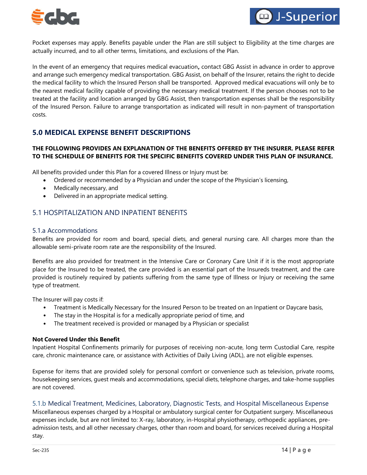



Pocket expenses may apply. Benefits payable under the Plan are still subject to Eligibility at the time charges are actually incurred, and to all other terms, limitations, and exclusions of the Plan.

In the event of an emergency that requires medical evacuation**,** contact GBG Assist in advance in order to approve and arrange such emergency medical transportation. GBG Assist, on behalf of the Insurer, retains the right to decide the medical facility to which the Insured Person shall be transported. Approved medical evacuations will only be to the nearest medical facility capable of providing the necessary medical treatment. If the person chooses not to be treated at the facility and location arranged by GBG Assist, then transportation expenses shall be the responsibility of the Insured Person. Failure to arrange transportation as indicated will result in non-payment of transportation costs.

# <span id="page-13-0"></span>**5.0 MEDICAL EXPENSE BENEFIT DESCRIPTIONS**

## **THE FOLLOWING PROVIDES AN EXPLANATION OF THE BENEFITS OFFERED BY THE INSURER. PLEASE REFER TO THE SCHEDULE OF BENEFITS FOR THE SPECIFIC BENEFITS COVERED UNDER THIS PLAN OF INSURANCE.**

All benefits provided under this Plan for a covered Illness or Injury must be:

- Ordered or recommended by a Physician and under the scope of the Physician's licensing,
- Medically necessary, and
- Delivered in an appropriate medical setting.

# 5.1 HOSPITALIZATION AND INPATIENT BENEFITS

#### 5.1.a Accommodations

Benefits are provided for room and board, special diets, and general nursing care. All charges more than the allowable semi-private room rate are the responsibility of the Insured.

Benefits are also provided for treatment in the Intensive Care or Coronary Care Unit if it is the most appropriate place for the Insured to be treated, the care provided is an essential part of the Insureds treatment, and the care provided is routinely required by patients suffering from the same type of Illness or Injury or receiving the same type of treatment.

The Insurer will pay costs if:

- Treatment is Medically Necessary for the Insured Person to be treated on an Inpatient or Daycare basis,
- The stay in the Hospital is for a medically appropriate period of time, and
- The treatment received is provided or managed by a Physician or specialist

#### **Not Covered Under this Benefit**

Inpatient Hospital Confinements primarily for purposes of receiving non-acute, long term Custodial Care, respite care, chronic maintenance care, or assistance with Activities of Daily Living (ADL), are not eligible expenses.

Expense for items that are provided solely for personal comfort or convenience such as television, private rooms, housekeeping services, guest meals and accommodations, special diets, telephone charges, and take-home supplies are not covered.

#### 5.1.b Medical Treatment, Medicines, Laboratory, Diagnostic Tests, and Hospital Miscellaneous Expense

Miscellaneous expenses charged by a Hospital or ambulatory surgical center for Outpatient surgery. Miscellaneous expenses include, but are not limited to: X-ray, laboratory, in-Hospital physiotherapy, orthopedic appliances, preadmission tests, and all other necessary charges, other than room and board, for services received during a Hospital stay.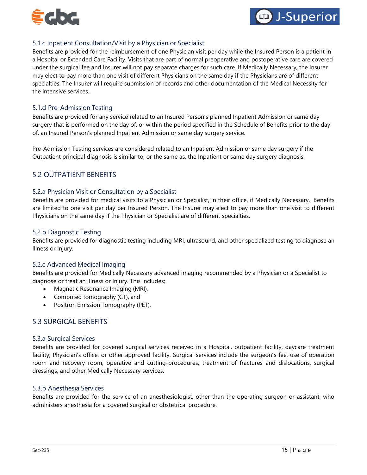



## 5.1.c Inpatient Consultation/Visit by a Physician or Specialist

Benefits are provided for the reimbursement of one Physician visit per day while the Insured Person is a patient in a Hospital or Extended Care Facility. Visits that are part of normal preoperative and postoperative care are covered under the surgical fee and Insurer will not pay separate charges for such care. If Medically Necessary, the Insurer may elect to pay more than one visit of different Physicians on the same day if the Physicians are of different specialties. The Insurer will require submission of records and other documentation of the Medical Necessity for the intensive services.

### 5.1.d Pre-Admission Testing

Benefits are provided for any service related to an Insured Person's planned Inpatient Admission or same day surgery that is performed on the day of, or within the period specified in the Schedule of Benefits prior to the day of, an Insured Person's planned Inpatient Admission or same day surgery service.

Pre-Admission Testing services are considered related to an Inpatient Admission or same day surgery if the Outpatient principal diagnosis is similar to, or the same as, the Inpatient or same day surgery diagnosis.

# 5.2 OUTPATIENT BENEFITS

## 5.2.a Physician Visit or Consultation by a Specialist

Benefits are provided for medical visits to a Physician or Specialist, in their office, if Medically Necessary. Benefits are limited to one visit per day per Insured Person. The Insurer may elect to pay more than one visit to different Physicians on the same day if the Physician or Specialist are of different specialties.

#### 5.2.b Diagnostic Testing

Benefits are provided for diagnostic testing including MRI, ultrasound, and other specialized testing to diagnose an Illness or Injury.

#### 5.2.c Advanced Medical Imaging

Benefits are provided for Medically Necessary advanced imaging recommended by a Physician or a Specialist to diagnose or treat an Illness or Injury. This includes;

- Magnetic Resonance Imaging (MRI),
- Computed tomography (CT), and
- Positron Emission Tomography (PET).

# 5.3 SURGICAL BENEFITS

#### 5.3.a Surgical Services

Benefits are provided for covered surgical services received in a Hospital, outpatient facility, daycare treatment facility, Physician's office, or other approved facility. Surgical services include the surgeon's fee, use of operation room and recovery room, operative and cutting-procedures, treatment of fractures and dislocations, surgical dressings, and other Medically Necessary services.

#### 5.3.b Anesthesia Services

Benefits are provided for the service of an anesthesiologist, other than the operating surgeon or assistant, who administers anesthesia for a covered surgical or obstetrical procedure.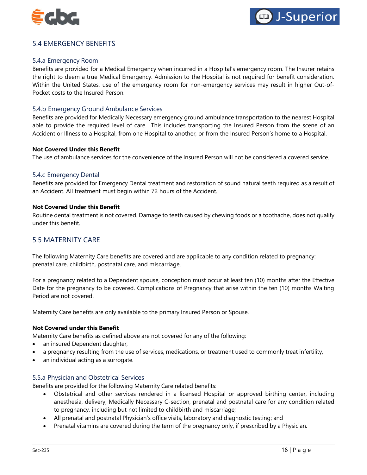



# 5.4 EMERGENCY BENEFITS

### 5.4.a Emergency Room

Benefits are provided for a Medical Emergency when incurred in a Hospital's emergency room. The Insurer retains the right to deem a true Medical Emergency. Admission to the Hospital is not required for benefit consideration. Within the United States, use of the emergency room for non-emergency services may result in higher Out-of-Pocket costs to the Insured Person.

#### 5.4.b Emergency Ground Ambulance Services

Benefits are provided for Medically Necessary emergency ground ambulance transportation to the nearest Hospital able to provide the required level of care. This includes transporting the Insured Person from the scene of an Accident or Illness to a Hospital, from one Hospital to another, or from the Insured Person's home to a Hospital.

#### **Not Covered Under this Benefit**

The use of ambulance services for the convenience of the Insured Person will not be considered a covered service.

#### 5.4.c Emergency Dental

Benefits are provided for Emergency Dental treatment and restoration of sound natural teeth required as a result of an Accident. All treatment must begin within 72 hours of the Accident.

#### **Not Covered Under this Benefit**

Routine dental treatment is not covered. Damage to teeth caused by chewing foods or a toothache, does not qualify under this benefit.

## 5.5 MATERNITY CARE

The following Maternity Care benefits are covered and are applicable to any condition related to pregnancy: prenatal care, childbirth, postnatal care, and miscarriage.

For a pregnancy related to a Dependent spouse, conception must occur at least ten (10) months after the Effective Date for the pregnancy to be covered. Complications of Pregnancy that arise within the ten (10) months Waiting Period are not covered.

Maternity Care benefits are only available to the primary Insured Person or Spouse.

#### **Not Covered under this Benefit**

Maternity Care benefits as defined above are not covered for any of the following:

- an insured Dependent daughter,
- a pregnancy resulting from the use of services, medications, or treatment used to commonly treat infertility,
- an individual acting as a surrogate.

#### 5.5.a Physician and Obstetrical Services

Benefits are provided for the following Maternity Care related benefits:

- Obstetrical and other services rendered in a licensed Hospital or approved birthing center, including anesthesia, delivery, Medically Necessary C-section, prenatal and postnatal care for any condition related to pregnancy, including but not limited to childbirth and miscarriage;
- All prenatal and postnatal Physician's office visits, laboratory and diagnostic testing; and
- Prenatal vitamins are covered during the term of the pregnancy only, if prescribed by a Physician.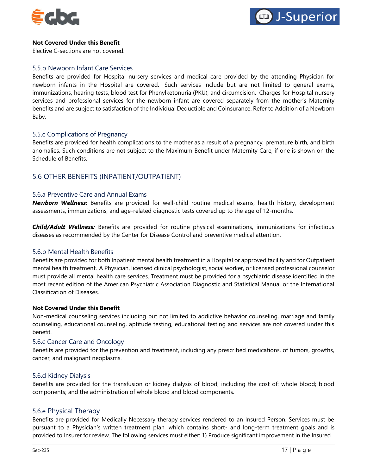



#### **Not Covered Under this Benefit**

Elective C-sections are not covered.

### 5.5.b Newborn Infant Care Services

Benefits are provided for Hospital nursery services and medical care provided by the attending Physician for newborn infants in the Hospital are covered. Such services include but are not limited to general exams, immunizations, hearing tests, blood test for Phenylketonuria (PKU), and circumcision. Charges for Hospital nursery services and professional services for the newborn infant are covered separately from the mother's Maternity benefits and are subject to satisfaction of the Individual Deductible and Coinsurance. Refer to Addition of a Newborn Baby.

## 5.5.c Complications of Pregnancy

Benefits are provided for health complications to the mother as a result of a pregnancy, premature birth, and birth anomalies. Such conditions are not subject to the Maximum Benefit under Maternity Care, if one is shown on the Schedule of Benefits.

# 5.6 OTHER BENEFITS (INPATIENT/OUTPATIENT)

#### 5.6.a Preventive Care and Annual Exams

*Newborn Wellness:* Benefits are provided for well-child routine medical exams, health history, development assessments, immunizations, and age-related diagnostic tests covered up to the age of 12-months.

*Child/Adult Wellness:* Benefits are provided for routine physical examinations, immunizations for infectious diseases as recommended by the Center for Disease Control and preventive medical attention.

#### 5.6.b Mental Health Benefits

Benefits are provided for both Inpatient mental health treatment in a Hospital or approved facility and for Outpatient mental health treatment. A Physician, licensed clinical psychologist, social worker, or licensed professional counselor must provide all mental health care services. Treatment must be provided for a psychiatric disease identified in the most recent edition of the American Psychiatric Association Diagnostic and Statistical Manual or the International Classification of Diseases.

#### **Not Covered Under this Benefit**

Non-medical counseling services including but not limited to addictive behavior counseling, marriage and family counseling, educational counseling, aptitude testing, educational testing and services are not covered under this benefit.

#### 5.6.c Cancer Care and Oncology

Benefits are provided for the prevention and treatment, including any prescribed medications, of tumors, growths, cancer, and malignant neoplasms.

#### 5.6.d Kidney Dialysis

Benefits are provided for the transfusion or kidney dialysis of blood, including the cost of: whole blood; blood components; and the administration of whole blood and blood components.

#### 5.6.e Physical Therapy

Benefits are provided for Medically Necessary therapy services rendered to an Insured Person. Services must be pursuant to a Physician's written treatment plan, which contains short- and long-term treatment goals and is provided to Insurer for review. The following services must either: 1) Produce significant improvement in the Insured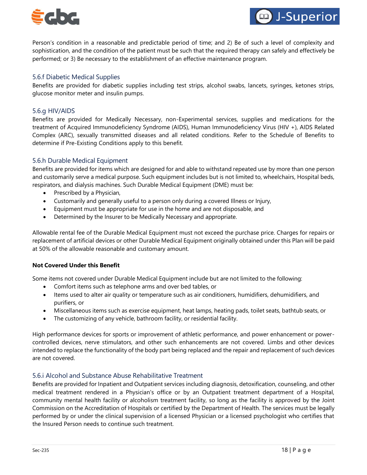



Person's condition in a reasonable and predictable period of time; and 2) Be of such a level of complexity and sophistication, and the condition of the patient must be such that the required therapy can safely and effectively be performed; or 3) Be necessary to the establishment of an effective maintenance program.

### 5.6.f Diabetic Medical Supplies

Benefits are provided for diabetic supplies including test strips, alcohol swabs, lancets, syringes, ketones strips, glucose monitor meter and insulin pumps.

#### 5.6.g HIV/AIDS

Benefits are provided for Medically Necessary, non-Experimental services, supplies and medications for the treatment of Acquired Immunodeficiency Syndrome (AIDS), Human Immunodeficiency Virus (HIV +), AIDS Related Complex (ARC), sexually transmitted diseases and all related conditions. Refer to the Schedule of Benefits to determine if Pre-Existing Conditions apply to this benefit.

#### 5.6.h Durable Medical Equipment

Benefits are provided for items which are designed for and able to withstand repeated use by more than one person and customarily serve a medical purpose. Such equipment includes but is not limited to, wheelchairs, Hospital beds, respirators, and dialysis machines. Such Durable Medical Equipment (DME) must be:

- Prescribed by a Physician,
- Customarily and generally useful to a person only during a covered Illness or Injury,
- Equipment must be appropriate for use in the home and are not disposable, and
- Determined by the Insurer to be Medically Necessary and appropriate.

Allowable rental fee of the Durable Medical Equipment must not exceed the purchase price. Charges for repairs or replacement of artificial devices or other Durable Medical Equipment originally obtained under this Plan will be paid at 50% of the allowable reasonable and customary amount.

#### **Not Covered Under this Benefit**

Some items not covered under Durable Medical Equipment include but are not limited to the following:

- Comfort items such as telephone arms and over bed tables, or
- Items used to alter air quality or temperature such as air conditioners, humidifiers, dehumidifiers, and purifiers, or
- Miscellaneous items such as exercise equipment, heat lamps, heating pads, toilet seats, bathtub seats, or
- The customizing of any vehicle, bathroom facility, or residential facility.

High performance devices for sports or improvement of athletic performance, and power enhancement or powercontrolled devices, nerve stimulators, and other such enhancements are not covered. Limbs and other devices intended to replace the functionality of the body part being replaced and the repair and replacement of such devices are not covered.

#### 5.6.i Alcohol and Substance Abuse Rehabilitative Treatment

Benefits are provided for Inpatient and Outpatient services including diagnosis, detoxification, counseling, and other medical treatment rendered in a Physician's office or by an Outpatient treatment department of a Hospital, community mental health facility or alcoholism treatment facility, so long as the facility is approved by the Joint Commission on the Accreditation of Hospitals or certified by the Department of Health. The services must be legally performed by or under the clinical supervision of a licensed Physician or a licensed psychologist who certifies that the Insured Person needs to continue such treatment.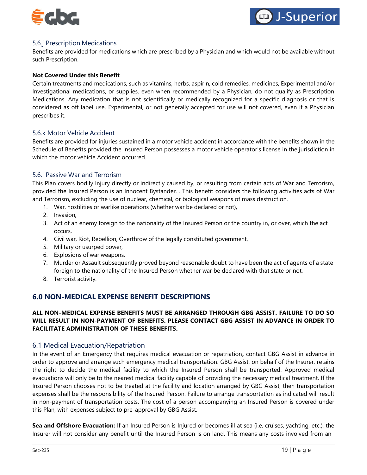



## 5.6.j Prescription Medications

Benefits are provided for medications which are prescribed by a Physician and which would not be available without such Prescription.

#### **Not Covered Under this Benefit**

Certain treatments and medications, such as vitamins, herbs, aspirin, cold remedies, medicines, Experimental and/or Investigational medications, or supplies, even when recommended by a Physician, do not qualify as Prescription Medications. Any medication that is not scientifically or medically recognized for a specific diagnosis or that is considered as off label use, Experimental, or not generally accepted for use will not covered, even if a Physician prescribes it.

#### 5.6.k Motor Vehicle Accident

Benefits are provided for injuries sustained in a motor vehicle accident in accordance with the benefits shown in the Schedule of Benefits provided the Insured Person possesses a motor vehicle operator's license in the jurisdiction in which the motor vehicle Accident occurred.

#### 5.6.l Passive War and Terrorism

This Plan covers bodily Injury directly or indirectly caused by, or resulting from certain acts of War and Terrorism, provided the Insured Person is an Innocent Bystander. . This benefit considers the following activities acts of War and Terrorism, excluding the use of nuclear, chemical, or biological weapons of mass destruction.

- 1. War, hostilities or warlike operations (whether war be declared or not),
- 2. Invasion,
- 3. Act of an enemy foreign to the nationality of the Insured Person or the country in, or over, which the act occurs,
- 4. Civil war, Riot, Rebellion, Overthrow of the legally constituted government,
- 5. Military or usurped power,
- 6. Explosions of war weapons,
- 7. Murder or Assault subsequently proved beyond reasonable doubt to have been the act of agents of a state foreign to the nationality of the Insured Person whether war be declared with that state or not,
- 8. Terrorist activity.

## <span id="page-18-0"></span>**6.0 NON-MEDICAL EXPENSE BENEFIT DESCRIPTIONS**

### **ALL NON-MEDICAL EXPENSE BENEFITS MUST BE ARRANGED THROUGH GBG ASSIST. FAILURE TO DO SO WILL RESULT IN NON-PAYMENT OF BENEFITS. PLEASE CONTACT GBG ASSIST IN ADVANCE IN ORDER TO FACILITATE ADMINISTRATION OF THESE BENEFITS.**

#### 6.1 Medical Evacuation/Repatriation

In the event of an Emergency that requires medical evacuation or repatriation**,** contact GBG Assist in advance in order to approve and arrange such emergency medical transportation. GBG Assist, on behalf of the Insurer, retains the right to decide the medical facility to which the Insured Person shall be transported. Approved medical evacuations will only be to the nearest medical facility capable of providing the necessary medical treatment. If the Insured Person chooses not to be treated at the facility and location arranged by GBG Assist, then transportation expenses shall be the responsibility of the Insured Person. Failure to arrange transportation as indicated will result in non-payment of transportation costs. The cost of a person accompanying an Insured Person is covered under this Plan, with expenses subject to pre-approval by GBG Assist.

**Sea and Offshore Evacuation:** If an Insured Person is Injured or becomes ill at sea (i.e. cruises, yachting, etc.), the Insurer will not consider any benefit until the Insured Person is on land. This means any costs involved from an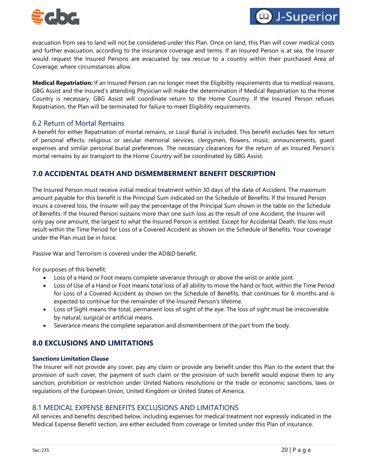



evacuation from sea to land will not be considered under this Plan. Once on land, this Plan will cover medical costs and further evacuation, according to the insurance coverage and terms. If an Insured Person is at sea, the Insurer would request the Insured Persons are evacuated by sea rescue to a country within their purchased Area of Coverage, where circumstances allow.

**Medical Repatriation***:* If an Insured Person can no longer meet the Eligibility requirements due to medical reasons, GBG Assist and the Insured's attending Physician will make the determination if Medical Repatriation to the Home Country is necessary. GBG Assist will coordinate return to the Home Country. If the Insured Person refuses Repatriation, the Plan will be terminated for failure to meet Eligibility requirements.

## 6.2 Return of Mortal Remains

A benefit for either Repatriation of mortal remains, or Local Burial is included. This benefit excludes fees for return of personal effects, religious or secular memorial services, clergymen, flowers, music, announcements, guest expenses and similar personal burial preferences. The necessary clearances for the return of an Insured Person's mortal remains by air transport to the Home Country will be coordinated by GBG Assist.

## <span id="page-19-0"></span>**7.0 ACCIDENTAL DEATH AND DISMEMBERMENT BENEFIT DESCRIPTION**

The Insured Person must receive initial medical treatment within 30 days of the date of Accident. The maximum amount payable for this benefit is the Principal Sum indicated on the Schedule of Benefits. If the Insured Person incurs a covered loss, the Insurer will pay the percentage of the Principal Sum shown in the table on the Schedule of Benefits. If the Insured Person sustains more than one such loss as the result of one Accident, the Insurer will only pay one amount, the largest to what the Insured Person is entitled. Except for Accidental Death, the loss must result within the Time Period for Loss of a Covered Accident as shown on the Schedule of Benefits. Your coverage under the Plan must be in force.

Passive War and Terrorism is covered under the AD&D benefit.

For purposes of this benefit:

- Loss of a Hand or Foot means complete severance through or above the wrist or ankle joint.
- Loss of Use of a Hand or Foot means total loss of all ability to move the hand or foot, within the Time Period for Loss of a Covered Accident as shown on the Schedule of Benefits, that continues for 6 months and is expected to continue for the remainder of the Insured Person's lifetime.
- Loss of Sight means the total, permanent loss of sight of the eye. The loss of sight must be irrecoverable by natural, surgical or artificial means.
- Severance means the complete separation and dismemberment of the part from the body.

## <span id="page-19-1"></span>**8.0 EXCLUSIONS AND LIMITATIONS**

#### **Sanctions Limitation Clause**

The Insurer will not provide any cover, pay any claim or provide any benefit under this Plan to the extent that the provision of such cover, the payment of such claim or the provision of such benefit would expose them to any sanction, prohibition or restriction under United Nations resolutions or the trade or economic sanctions, laws or regulations of the European Union, United Kingdom or United States of America.

## 8.1 MEDICAL EXPENSE BENEFITS EXCLUSIONS AND LIMITATIONS

All services and benefits described below, including expenses for medical treatment not expressly indicated in the Medical Expense Benefit section, are either excluded from coverage or limited under this Plan of insurance.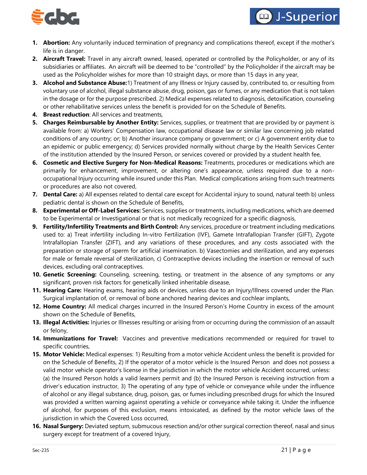

- **1. Abortion:** Any voluntarily induced termination of pregnancy and complications thereof, except if the mother's life is in danger.
- **2. Aircraft Travel:** Travel in any aircraft owned, leased, operated or controlled by the Policyholder, or any of its subsidiaries or affiliates. An aircraft will be deemed to be "controlled" by the Policyholder if the aircraft may be used as the Policyholder wishes for more than 10 straight days, or more than 15 days in any year,
- **3. Alcohol and Substance Abuse:**1) Treatment of any Illness or Injury caused by, contributed to, or resulting from voluntary use of alcohol, illegal substance abuse, drug, poison, gas or fumes, or any medication that is not taken in the dosage or for the purpose prescribed. 2) Medical expenses related to diagnosis, detoxification, counseling or other rehabilitative services unless the benefit is provided for on the Schedule of Benefits.
- **4. Breast reduction**: All services and treatments,
- **5. Charges Reimbursable by Another Entity:** Services, supplies, or treatment that are provided by or payment is available from: a) Workers' Compensation law, occupational disease law or similar law concerning job related conditions of any country; or; b) Another insurance company or government; or c) A government entity due to an epidemic or public emergency; d) Services provided normally without charge by the Health Services Center of the institution attended by the Insured Person, or services covered or provided by a student health fee,
- **6. Cosmetic and Elective Surgery for Non-Medical Reasons:** Treatments, procedures or medications which are primarily for enhancement, improvement, or altering one's appearance, unless required due to a nonoccupational Injury occurring while insured under this Plan. Medical complications arising from such treatments or procedures are also not covered,
- **7. Dental Care:** a) All expenses related to dental care except for Accidental injury to sound, natural teeth b) unless pediatric dental is shown on the Schedule of Benefits,
- **8. Experimental or Off-Label Services:** Services, supplies or treatments, including medications, which are deemed to be Experimental or Investigational or that is not medically recognized for a specific diagnosis,
- **9. Fertility/Infertility Treatments and Birth Control:** Any services, procedure or treatment including medications used to: a) Treat infertility including In-vitro Fertilization (IVF), Gamete Intrafallopian Transfer (GIFT), Zygote Intrafallopian Transfer (ZIFT), and any variations of these procedures, and any costs associated with the preparation or storage of sperm for artificial insemination. b) Vasectomies and sterilization, and any expenses for male or female reversal of sterilization, c) Contraceptive devices including the insertion or removal of such devices, excluding oral contraceptives.
- **10. Genetic Screening:** Counseling, screening, testing, or treatment in the absence of any symptoms or any significant, proven risk factors for genetically linked inheritable disease,
- **11. Hearing Care:** Hearing exams, hearing aids or devices, unless due to an Injury/Illness covered under the Plan. Surgical implantation of, or removal of bone anchored hearing devices and cochlear implants,
- **12. Home Country:** All medical charges incurred in the Insured Person's Home Country in excess of the amount shown on the Schedule of Benefits,
- **13. Illegal Activities:** Injuries or Illnesses resulting or arising from or occurring during the commission of an assault or felony,
- **14. Immunizations for Travel:** Vaccines and preventive medications recommended or required for travel to specific countries,
- **15. Motor Vehicle:** Medical expenses: 1) Resulting from a motor vehicle Accident unless the benefit is provided for on the Schedule of Benefits, 2) If the operator of a motor vehicle is the Insured Person and does not possess a valid motor vehicle operator's license in the jurisdiction in which the motor vehicle Accident occurred, unless: (a) the Insured Person holds a valid learners permit and (b) the Insured Person is receiving instruction from a driver's education instructor, 3) The operating of any type of vehicle or conveyance while under the influence of alcohol or any illegal substance, drug, poison, gas, or fumes including prescribed drugs for which the Insured was provided a written warning against operating a vehicle or conveyance while taking it. Under the influence of alcohol, for purposes of this exclusion, means intoxicated, as defined by the motor vehicle laws of the jurisdiction in which the Covered Loss occurred,
- **16. Nasal Surgery:** Deviated septum, submucous resection and/or other surgical correction thereof, nasal and sinus surgery except for treatment of a covered Injury,

**D** J-Superior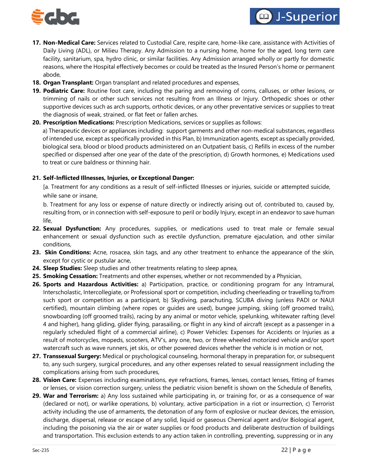

- **D** J-Superior
- **17. Non-Medical Care:** Services related to Custodial Care, respite care, home-like care, assistance with Activities of Daily Living (ADL), or Milieu Therapy. Any Admission to a nursing home, home for the aged, long term care facility, sanitarium, spa, hydro clinic, or similar facilities. Any Admission arranged wholly or partly for domestic reasons, where the Hospital effectively becomes or could be treated as the Insured Person's home or permanent abode,
- **18. Organ Transplant:** Organ transplant and related procedures and expenses,
- **19. Podiatric Care:** Routine foot care, including the paring and removing of corns, calluses, or other lesions, or trimming of nails or other such services not resulting from an Illness or Injury. Orthopedic shoes or other supportive devices such as arch supports, orthotic devices, or any other preventative services or supplies to treat the diagnosis of weak, strained, or flat feet or fallen arches.
- **20. Prescription Medications:** Prescription Medications, services or supplies as follows:

a) Therapeutic devices or appliances including: support garments and other non-medical substances, regardless of intended use, except as specifically provided in this Plan, b) Immunization agents, except as specially provided, biological sera, blood or blood products administered on an Outpatient basis, c) Refills in excess of the number specified or dispensed after one year of the date of the prescription, d) Growth hormones, e) Medications used to treat or cure baldness or thinning hair.

## **21. Self-Inflicted Illnesses, Injuries, or Exceptional Danger:**

[a. Treatment for any conditions as a result of self-inflicted Illnesses or injuries, suicide or attempted suicide, while sane or insane,

b. Treatment for any loss or expense of nature directly or indirectly arising out of, contributed to, caused by, resulting from, or in connection with self-exposure to peril or bodily Injury, except in an endeavor to save human life,

- **22. Sexual Dysfunction:** Any procedures, supplies, or medications used to treat male or female sexual enhancement or sexual dysfunction such as erectile dysfunction, premature ejaculation, and other similar conditions,
- **23. Skin Conditions:** Acne, rosacea, skin tags, and any other treatment to enhance the appearance of the skin, except for cystic or pustular acne,
- **24. Sleep Studies:** Sleep studies and other treatments relating to sleep apnea,
- **25. Smoking Cessation:** Treatments and other expenses, whether or not recommended by a Physician,
- **26. Sports and Hazardous Activities:** a) Participation, practice, or conditioning program for any Intramural, Interscholastic, Intercollegiate, or Professional sport or competition, including cheerleading or travelling to/from such sport or competition as a participant, b) Skydiving, parachuting, SCUBA diving (unless PADI or NAUI certified), mountain climbing (where ropes or guides are used), bungee jumping, skiing (off groomed trails), snowboarding (off groomed trails), racing by any animal or motor vehicle, spelunking, whitewater rafting (level 4 and higher), hang gliding, glider flying, parasailing, or flight in any kind of aircraft (except as a passenger in a regularly scheduled flight of a commercial airline), c) Power Vehicles: Expenses for Accidents or Injuries as a result of motorcycles, mopeds, scooters, ATV's, any one, two, or three wheeled motorized vehicle and/or sport watercraft such as wave runners, jet skis, or other powered devices whether the vehicle is in motion or not,
- **27. Transsexual Surgery:** Medical or psychological counseling, hormonal therapy in preparation for, or subsequent to, any such surgery, surgical procedures, and any other expenses related to sexual reassignment including the complications arising from such procedures,
- **28. Vision Care:** Expenses including examinations, eye refractions, frames, lenses, contact lenses, fitting of frames or lenses, or vision correction surgery, unless the pediatric vision benefit is shown on the Schedule of Benefits,
- **29. War and Terrorism:** a) Any loss sustained while participating in, or training for, or as a consequence of war (declared or not), or warlike operations, b) voluntary, active participation in a riot or insurrection, c) Terrorist activity including the use of armaments, the detonation of any form of explosive or nuclear devices, the emission, discharge, dispersal, release or escape of any solid, liquid or gaseous Chemical agent and/or Biological agent, including the poisoning via the air or water supplies or food products and deliberate destruction of buildings and transportation. This exclusion extends to any action taken in controlling, preventing, suppressing or in any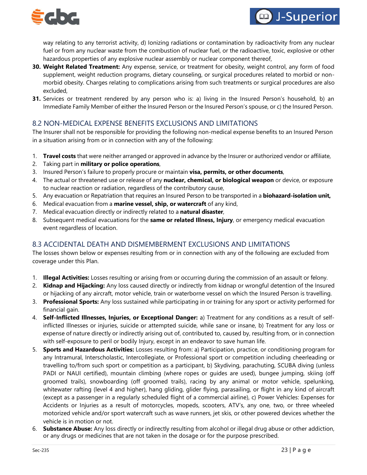



way relating to any terrorist activity, d) Ionizing radiations or contamination by radioactivity from any nuclear fuel or from any nuclear waste from the combustion of nuclear fuel, or the radioactive, toxic, explosive or other hazardous properties of any explosive nuclear assembly or nuclear component thereof,

- **30. Weight Related Treatment:** Any expense, service, or treatment for obesity, weight control, any form of food supplement, weight reduction programs, dietary counseling, or surgical procedures related to morbid or nonmorbid obesity. Charges relating to complications arising from such treatments or surgical procedures are also excluded,
- **31.** Services or treatment rendered by any person who is: a) living in the Insured Person's household, b) an Immediate Family Member of either the Insured Person or the Insured Person's spouse, or c) the Insured Person.

# 8.2 NON-MEDICAL EXPENSE BENEFITS EXCLUSIONS AND LIMITATIONS

The Insurer shall not be responsible for providing the following non-medical expense benefits to an Insured Person in a situation arising from or in connection with any of the following:

- 1. **Travel costs** that were neither arranged or approved in advance by the Insurer or authorized vendor or affiliate,
- 2. Taking part in **military or police operations**,
- 3. Insured Person's failure to properly procure or maintain **visa, permits, or other documents**,
- 4. The actual or threatened use or release of any **nuclear, chemical, or biological weapon** or device, or exposure to nuclear reaction or radiation, regardless of the contributory cause,
- 5. Any evacuation or Repatriation that requires an Insured Person to be transported in a **biohazard-isolation unit,**
- 6. Medical evacuation from a **marine vessel, ship, or watercraft** of any kind,
- 7. Medical evacuation directly or indirectly related to a **natural disaster**,
- 8. Subsequent medical evacuations for the **same or related Illness, Injury**, or emergency medical evacuation event regardless of location.

# 8.3 ACCIDENTAL DEATH AND DISMEMBERMENT EXCLUSIONS AND LIMITATIONS

The losses shown below or expenses resulting from or in connection with any of the following are excluded from coverage under this Plan.

- 1. **Illegal Activities:** Losses resulting or arising from or occurring during the commission of an assault or felony.
- 2. **Kidnap and Hijacking:** Any loss caused directly or indirectly from kidnap or wrongful detention of the Insured or hijacking of any aircraft, motor vehicle, train or waterborne vessel on which the Insured Person is travelling.
- 3. **Professional Sports:** Any loss sustained while participating in or training for any sport or activity performed for financial gain.
- 4. **Self-Inflicted Illnesses, Injuries, or Exceptional Danger:** a) Treatment for any conditions as a result of selfinflicted Illnesses or injuries, suicide or attempted suicide, while sane or insane, b) Treatment for any loss or expense of nature directly or indirectly arising out of, contributed to, caused by, resulting from, or in connection with self-exposure to peril or bodily Injury, except in an endeavor to save human life.
- 5. **Sports and Hazardous Activities:** Losses resulting from: a) Participation, practice, or conditioning program for any Intramural, Interscholastic, Intercollegiate, or Professional sport or competition including cheerleading or travelling to/from such sport or competition as a participant, b) Skydiving, parachuting, SCUBA diving (unless PADI or NAUI certified), mountain climbing (where ropes or guides are used), bungee jumping, skiing (off groomed trails), snowboarding (off groomed trails), racing by any animal or motor vehicle, spelunking, whitewater rafting (level 4 and higher), hang gliding, glider flying, parasailing, or flight in any kind of aircraft (except as a passenger in a regularly scheduled flight of a commercial airline), c) Power Vehicles: Expenses for Accidents or Injuries as a result of motorcycles, mopeds, scooters, ATV's, any one, two, or three wheeled motorized vehicle and/or sport watercraft such as wave runners, jet skis, or other powered devices whether the vehicle is in motion or not.
- 6. **Substance Abuse:** Any loss directly or indirectly resulting from alcohol or illegal drug abuse or other addiction, or any drugs or medicines that are not taken in the dosage or for the purpose prescribed.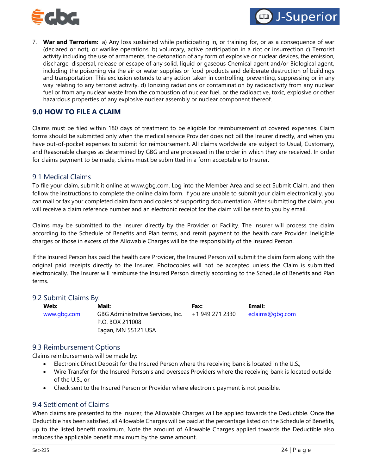



7. **War and Terrorism:** a) Any loss sustained while participating in, or training for, or as a consequence of war (declared or not), or warlike operations. b) voluntary, active participation in a riot or insurrection c) Terrorist activity including the use of armaments, the detonation of any form of explosive or nuclear devices, the emission, discharge, dispersal, release or escape of any solid, liquid or gaseous Chemical agent and/or Biological agent, including the poisoning via the air or water supplies or food products and deliberate destruction of buildings and transportation. This exclusion extends to any action taken in controlling, preventing, suppressing or in any way relating to any terrorist activity. d) Ionizing radiations or contamination by radioactivity from any nuclear fuel or from any nuclear waste from the combustion of nuclear fuel, or the radioactive, toxic, explosive or other hazardous properties of any explosive nuclear assembly or nuclear component thereof.

# <span id="page-23-0"></span>**9.0 HOW TO FILE A CLAIM**

Claims must be filed within 180 days of treatment to be eligible for reimbursement of covered expenses. Claim forms should be submitted only when the medical service Provider does not bill the Insurer directly, and when you have out-of-pocket expenses to submit for reimbursement. All claims worldwide are subject to Usual, Customary, and Reasonable charges as determined by GBG and are processed in the order in which they are received. In order for claims payment to be made, claims must be submitted in a form acceptable to Insurer.

## 9.1 Medical Claims

To file your claim, submit it online at [www.gbg.com. L](http://www.gbg.com/)og into the Member Area and select Submit Claim, and then follow the instructions to complete the online claim form. If you are unable to submit your claim electronically, you can mail or fax your completed claim form and copies of supporting documentation. After submitting the claim, you will receive a claim reference number and an electronic receipt for the claim will be sent to you by email.

Claims may be submitted to the Insurer directly by the Provider or Facility. The Insurer will process the claim according to the Schedule of Benefits and Plan terms, and remit payment to the health care Provider. Ineligible charges or those in excess of the Allowable Charges will be the responsibility of the Insured Person.

If the Insured Person has paid the health care Provider, the Insured Person will submit the claim form along with the original paid receipts directly to the Insurer. Photocopies will not be accepted unless the Claim is submitted electronically. The Insurer will reimburse the Insured Person directly according to the Schedule of Benefits and Plan terms.

#### 9.2 Submit Claims By:

| Web:        | Mail:                             | Fax:            | Email:          |
|-------------|-----------------------------------|-----------------|-----------------|
| www.gbg.com | GBG Administrative Services, Inc. | +1 949 271 2330 | eclaims@gbg.com |
|             | P.O. BOX 211008                   |                 |                 |
|             | Eagan, MN 55121 USA               |                 |                 |

#### 9.3 Reimbursement Options

Claims reimbursements will be made by:

- Electronic Direct Deposit for the Insured Person where the receiving bank is located in the U.S.,
- Wire Transfer for the Insured Person's and overseas Providers where the receiving bank is located outside of the U.S., or
- Check sent to the Insured Person or Provider where electronic payment is not possible.

## 9.4 Settlement of Claims

When claims are presented to the Insurer, the Allowable Charges will be applied towards the Deductible. Once the Deductible has been satisfied, all Allowable Charges will be paid at the percentage listed on the Schedule of Benefits, up to the listed benefit maximum. Note the amount of Allowable Charges applied towards the Deductible also reduces the applicable benefit maximum by the same amount.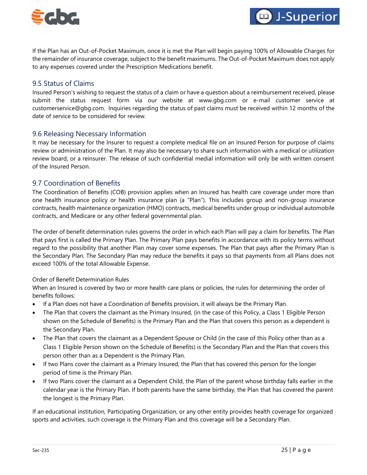



If the Plan has an Out-of-Pocket Maximum, once it is met the Plan will begin paying 100% of Allowable Charges for the remainder of insurance coverage, subject to the benefit maximums. The Out-of-Pocket Maximum does not apply to any expenses covered under the Prescription Medications benefit.

## 9.5 Status of Claims

Insured Person's wishing to request the status of a claim or have a question about a reimbursement received, please submit the status request form via our website at [www.gbg.com](http://www.gbg.com/) or e-mail customer service at [customerservice@gbg.com.](mailto:customerservice@gbg.com) Inquiries regarding the status of past claims must be received within 12 months of the date of service to be considered for review.

## 9.6 Releasing Necessary Information

It may be necessary for the Insurer to request a complete medical file on an Insured Person for purpose of claims review or administration of the Plan. It may also be necessary to share such information with a medical or utilization review board, or a reinsurer. The release of such confidential medial information will only be with written consent of the Insured Person.

## 9.7 Coordination of Benefits

The Coordination of Benefits (COB) provision applies when an Insured has health care coverage under more than one health insurance policy or health insurance plan (a "Plan"). This includes group and non-group insurance contracts, health maintenance organization (HMO) contracts, medical benefits under group or individual automobile contracts, and Medicare or any other federal governmental plan.

The order of benefit determination rules governs the order in which each Plan will pay a claim for benefits. The Plan that pays first is called the Primary Plan. The Primary Plan pays benefits in accordance with its policy terms without regard to the possibility that another Plan may cover some expenses. The Plan that pays after the Primary Plan is the Secondary Plan. The Secondary Plan may reduce the benefits it pays so that payments from all Plans does not exceed 100% of the total Allowable Expense.

#### Order of Benefit Determination Rules

When an Insured is covered by two or more health care plans or policies, the rules for determining the order of benefits follows:

- If a Plan does not have a Coordination of Benefits provision, it will always be the Primary Plan.
- The Plan that covers the claimant as the Primary Insured, (in the case of this Policy, a Class 1 Eligible Person shown on the Schedule of Benefits) is the Primary Plan and the Plan that covers this person as a dependent is the Secondary Plan.
- The Plan that covers the claimant as a Dependent Spouse or Child (in the case of this Policy other than as a Class 1 Eligible Person shown on the Schedule of Benefits) is the Secondary Plan and the Plan that covers this person other than as a Dependent is the Primary Plan.
- If two Plans cover the claimant as a Primary Insured, the Plan that has covered this person for the longer period of time is the Primary Plan.
- If two Plans cover the claimant as a Dependent Child, the Plan of the parent whose birthday falls earlier in the calendar year is the Primary Plan. If both parents have the same birthday, the Plan that has covered the parent the longest is the Primary Plan.

If an educational institution, Participating Organization, or any other entity provides health coverage for organized sports and activities, such coverage is the Primary Plan and this coverage will be a Secondary Plan.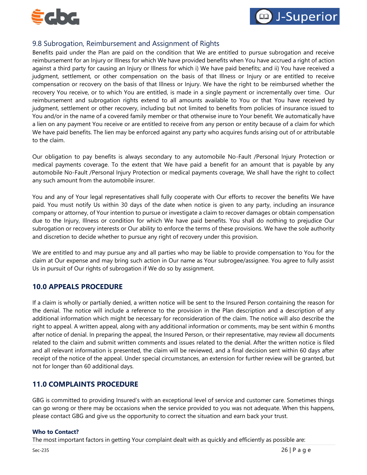



# 9.8 Subrogation, Reimbursement and Assignment of Rights

Benefits paid under the Plan are paid on the condition that We are entitled to pursue subrogation and receive reimbursement for an Injury or Illness for which We have provided benefits when You have accrued a right of action against a third party for causing an Injury or Illness for which i) We have paid benefits; and ii) You have received a judgment, settlement, or other compensation on the basis of that Illness or Injury or are entitled to receive compensation or recovery on the basis of that Illness or Injury. We have the right to be reimbursed whether the recovery You receive, or to which You are entitled, is made in a single payment or incrementally over time. Our reimbursement and subrogation rights extend to all amounts available to You or that You have received by judgment, settlement or other recovery, including but not limited to benefits from policies of insurance issued to You and/or in the name of a covered family member or that otherwise inure to Your benefit. We automatically have a lien on any payment You receive or are entitled to receive from any person or entity because of a claim for which We have paid benefits. The lien may be enforced against any party who acquires funds arising out of or attributable to the claim.

Our obligation to pay benefits is always secondary to any automobile No-Fault /Personal Injury Protection or medical payments coverage. To the extent that We have paid a benefit for an amount that is payable by any automobile No-Fault /Personal Injury Protection or medical payments coverage, We shall have the right to collect any such amount from the automobile insurer.

You and any of Your legal representatives shall fully cooperate with Our efforts to recover the benefits We have paid. You must notify Us within 30 days of the date when notice is given to any party, including an insurance company or attorney, of Your intention to pursue or investigate a claim to recover damages or obtain compensation due to the Injury, Illness or condition for which We have paid benefits. You shall do nothing to prejudice Our subrogation or recovery interests or Our ability to enforce the terms of these provisions. We have the sole authority and discretion to decide whether to pursue any right of recovery under this provision.

We are entitled to and may pursue any and all parties who may be liable to provide compensation to You for the claim at Our expense and may bring such action in Our name as Your subrogee/assignee. You agree to fully assist Us in pursuit of Our rights of subrogation if We do so by assignment.

# <span id="page-25-0"></span>**10.0 APPEALS PROCEDURE**

If a claim is wholly or partially denied, a written notice will be sent to the Insured Person containing the reason for the denial. The notice will include a reference to the provision in the Plan description and a description of any additional information which might be necessary for reconsideration of the claim. The notice will also describe the right to appeal. A written appeal, along with any additional information or comments, may be sent within 6 months after notice of denial. In preparing the appeal, the Insured Person, or their representative, may review all documents related to the claim and submit written comments and issues related to the denial. After the written notice is filed and all relevant information is presented, the claim will be reviewed, and a final decision sent within 60 days after receipt of the notice of the appeal. Under special circumstances, an extension for further review will be granted, but not for longer than 60 additional days.

# <span id="page-25-1"></span>**11.0 COMPLAINTS PROCEDURE**

GBG is committed to providing Insured's with an exceptional level of service and customer care. Sometimes things can go wrong or there may be occasions when the service provided to you was not adequate. When this happens, please contact GBG and give us the opportunity to correct the situation and earn back your trust.

#### **Who to Contact?**

The most important factors in getting Your complaint dealt with as quickly and efficiently as possible are: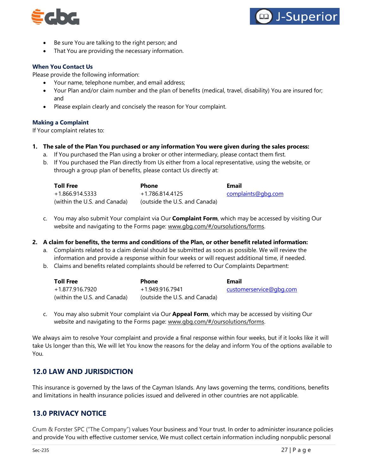



- Be sure You are talking to the right person; and
- That You are providing the necessary information.

#### **When You Contact Us**

Please provide the following information:

- Your name, telephone number, and email address;
- Your Plan and/or claim number and the plan of benefits (medical, travel, disability) You are insured for; and
- Please explain clearly and concisely the reason for Your complaint.

#### **Making a Complaint**

If Your complaint relates to:

#### **1. The sale of the Plan You purchased or any information You were given during the sales process:**

- a. If You purchased the Plan using a broker or other intermediary, please contact them first.
- b. If You purchased the Plan directly from Us either from a local representative, using the website, or through a group plan of benefits, please contact Us directly at:

| <b>Toll Free</b>             | <b>Phone</b>                  | <b>Email</b>       |
|------------------------------|-------------------------------|--------------------|
| +1.866.914.5333              | +1.786.814.4125               | complaints@gbg.com |
| (within the U.S. and Canada) | (outside the U.S. and Canada) |                    |

c. You may also submit Your complaint via Our **Complaint Form**, which may be accessed by visiting Our website and navigating to the Forms page: [www.gbg.com/#/oursolutions/forms.](http://www.gbg.com/%23/oursolutions/forms)

#### **2. A claim for benefits, the terms and conditions of the Plan, or other benefit related information:**

- a. Complaints related to a claim denial should be submitted as soon as possible. We will review the information and provide a response within four weeks or will request additional time, if needed.
- b. Claims and benefits related complaints should be referred to Our Complaints Department:

| <b>Toll Free</b>             | <b>Phone</b>                  | Email                   |
|------------------------------|-------------------------------|-------------------------|
| +1.877.916.7920              | +1.949.916.7941               | customerservice@gbg.com |
| (within the U.S. and Canada) | (outside the U.S. and Canada) |                         |

c. You may also submit Your complaint via Our **Appeal Form**, which may be accessed by visiting Our website and navigating to the Forms page: [www.gbg.com/#/oursolutions/forms.](http://www.gbg.com/%23/oursolutions/forms)

We always aim to resolve Your complaint and provide a final response within four weeks, but if it looks like it will take Us longer than this, We will let You know the reasons for the delay and inform You of the options available to You.

# <span id="page-26-0"></span>**12.0 LAW AND JURISDICTION**

This insurance is governed by the laws of the Cayman Islands. Any laws governing the terms, conditions, benefits and limitations in health insurance policies issued and delivered in other countries are not applicable.

# <span id="page-26-1"></span>**13.0 PRIVACY NOTICE**

Crum & Forster SPC ("The Company") values Your business and Your trust. In order to administer insurance policies and provide You with effective customer service, We must collect certain information including nonpublic personal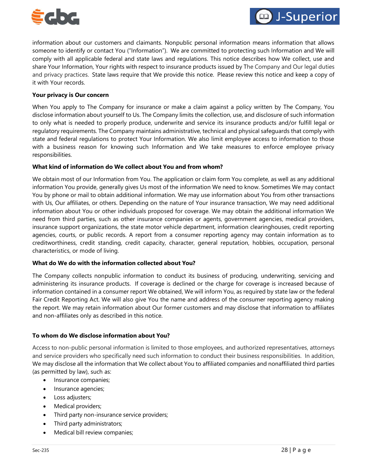

information about our customers and claimants. Nonpublic personal information means information that allows someone to identify or contact You ("Information"). We are committed to protecting such Information and We will comply with all applicable federal and state laws and regulations. This notice describes how We collect, use and share Your Information, Your rights with respect to insurance products issued by The Company and Our legal duties and privacy practices. State laws require that We provide this notice. Please review this notice and keep a copy of it with Your records.

#### **Your privacy is Our concern**

When You apply to The Company for insurance or make a claim against a policy written by The Company, You disclose information about yourself to Us. The Company limits the collection, use, and disclosure of such information to only what is needed to properly produce, underwrite and service its insurance products and/or fulfill legal or regulatory requirements. The Company maintains administrative, technical and physical safeguards that comply with state and federal regulations to protect Your Information. We also limit employee access to information to those with a business reason for knowing such Information and We take measures to enforce employee privacy responsibilities.

#### **What kind of information do We collect about You and from whom?**

We obtain most of our Information from You. The application or claim form You complete, as well as any additional information You provide, generally gives Us most of the information We need to know. Sometimes We may contact You by phone or mail to obtain additional information. We may use information about You from other transactions with Us, Our affiliates, or others. Depending on the nature of Your insurance transaction, We may need additional information about You or other individuals proposed for coverage. We may obtain the additional information We need from third parties, such as other insurance companies or agents, government agencies, medical providers, insurance support organizations, the state motor vehicle department, information clearinghouses, credit reporting agencies, courts, or public records. A report from a consumer reporting agency may contain information as to creditworthiness, credit standing, credit capacity, character, general reputation, hobbies, occupation, personal characteristics, or mode of living.

#### **What do We do with the information collected about You?**

The Company collects nonpublic information to conduct its business of producing, underwriting, servicing and administering its insurance products. If coverage is declined or the charge for coverage is increased because of information contained in a consumer report We obtained, We will inform You, as required by state law or the federal Fair Credit Reporting Act. We will also give You the name and address of the consumer reporting agency making the report. We may retain information about Our former customers and may disclose that information to affiliates and non-affiliates only as described in this notice.

#### **To whom do We disclose information about You?**

Access to non-public personal information is limited to those employees, and authorized representatives, attorneys and service providers who specifically need such information to conduct their business responsibilities. In addition, We may disclose all the information that We collect about You to affiliated companies and nonaffiliated third parties (as permitted by law), such as:

- Insurance companies;
- Insurance agencies;
- Loss adjusters;
- Medical providers;
- Third party non-insurance service providers;
- Third party administrators;
- Medical bill review companies;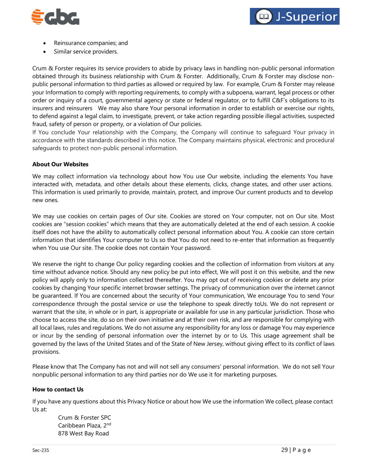



- Reinsurance companies; and
- Similar service providers.

Crum & Forster requires its service providers to abide by privacy laws in handling non-public personal information obtained through its business relationship with Crum & Forster. Additionally, Crum & Forster may disclose nonpublic personal information to third parties as allowed or required by law. For example, Crum & Forster may release your Information to comply with reporting requirements, to comply with a subpoena, warrant, legal process or other order or inquiry of a court, governmental agency or state or federal regulator, or to fulfill C&F's obligations to its insurers and reinsurers We may also share Your personal information in order to establish or exercise our rights, to defend against a legal claim, to investigate, prevent, or take action regarding possible illegal activities, suspected fraud, safety of person or property, or a violation of Our policies.

If You conclude Your relationship with the Company, the Company will continue to safeguard Your privacy in accordance with the standards described in this notice. The Company maintains physical, electronic and procedural safeguards to protect non-public personal information.

#### **About Our Websites**

We may collect information via technology about how You use Our website, including the elements You have interacted with, metadata, and other details about these elements, clicks, change states, and other user actions. This information is used primarily to provide, maintain, protect, and improve Our current products and to develop new ones.

We may use cookies on certain pages of Our site. Cookies are stored on Your computer, not on Our site. Most cookies are "session cookies" which means that they are automatically deleted at the end of each session. A cookie itself does not have the ability to automatically collect personal information about You. A cookie can store certain information that identifies Your computer to Us so that You do not need to re-enter that information as frequently when You use Our site. The cookie does not contain Your password.

We reserve the right to change Our policy regarding cookies and the collection of information from visitors at any time without advance notice. Should any new policy be put into effect, We will post it on this website, and the new policy will apply only to information collected thereafter. You may opt out of receiving cookies or delete any prior cookies by changing Your specific internet browser settings. The privacy of communication over the internet cannot be guaranteed. If You are concerned about the security of Your communication, We encourage You to send Your correspondence through the postal service or use the telephone to speak directly toUs. We do not represent or warrant that the site, in whole or in part, is appropriate or available for use in any particular jurisdiction. Those who choose to access the site, do so on their own initiative and at their own risk, and are responsible for complying with all local laws, rules and regulations. We do not assume any responsibility for any loss or damage You may experience or incur by the sending of personal information over the internet by or to Us. This usage agreement shall be governed by the laws of the United States and of the State of New Jersey, without giving effect to its conflict of laws provisions.

Please know that The Company has not and will not sell any consumers' personal information. We do not sell Your nonpublic personal information to any third parties nor do We use it for marketing purposes.

#### **How to contact Us**

If you have any questions about this Privacy Notice or about how We use the information We collect, please contact Us at:

Crum & Forster SPC Caribbean Plaza, 2<sup>nd</sup> 878 West Bay Road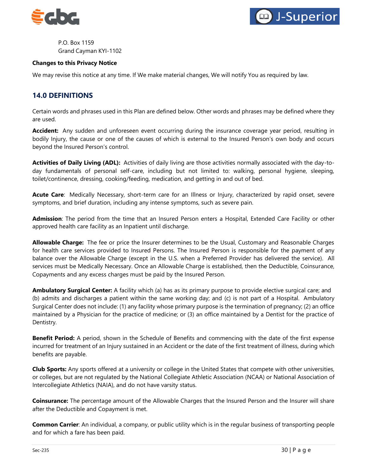



P.O. Box 1159 Grand Cayman KYI-1102

#### **Changes to this Privacy Notice**

We may revise this notice at any time. If We make material changes, We will notify You as required by law.

## <span id="page-29-0"></span>**14.0 DEFINITIONS**

Certain words and phrases used in this Plan are defined below. Other words and phrases may be defined where they are used.

**Accident:** Any sudden and unforeseen event occurring during the insurance coverage year period, resulting in bodily Injury, the cause or one of the causes of which is external to the Insured Person's own body and occurs beyond the Insured Person's control.

**Activities of Daily Living (ADL):** Activities of daily living are those activities normally associated with the day-today fundamentals of personal self-care, including but not limited to: walking, personal hygiene, sleeping, toilet/continence, dressing, cooking/feeding, medication, and getting in and out of bed.

**Acute Care**: Medically Necessary, short-term care for an Illness or Injury, characterized by rapid onset, severe symptoms, and brief duration, including any intense symptoms, such as severe pain.

**Admission**: The period from the time that an Insured Person enters a Hospital, Extended Care Facility or other approved health care facility as an Inpatient until discharge.

**Allowable Charge:** The fee or price the Insurer determines to be the Usual, Customary and Reasonable Charges for health care services provided to Insured Persons. The Insured Person is responsible for the payment of any balance over the Allowable Charge (except in the U.S. when a Preferred Provider has delivered the service). All services must be Medically Necessary. Once an Allowable Charge is established, then the Deductible, Coinsurance, Copayments and any excess charges must be paid by the Insured Person.

**Ambulatory Surgical Center:** A facility which (a) has as its primary purpose to provide elective surgical care; and (b) admits and discharges a patient within the same working day; and (c) is not part of a Hospital. Ambulatory Surgical Center does not include: (1) any facility whose primary purpose is the termination of pregnancy; (2) an office maintained by a Physician for the practice of medicine; or (3) an office maintained by a Dentist for the practice of Dentistry.

**Benefit Period:** A period, shown in the Schedule of Benefits and commencing with the date of the first expense incurred for treatment of an Injury sustained in an Accident or the date of the first treatment of illness, during which benefits are payable.

**Club Sports:** Any sports offered at a university or college in the United States that compete with other universities, or colleges, but are not regulated by the National Collegiate Athletic Association (NCAA) or National Association of Intercollegiate Athletics (NAIA), and do not have varsity status.

**Coinsurance:** The percentage amount of the Allowable Charges that the Insured Person and the Insurer will share after the Deductible and Copayment is met.

**Common Carrier**: An individual, a company, or public utility which is in the regular business of transporting people and for which a fare has been paid.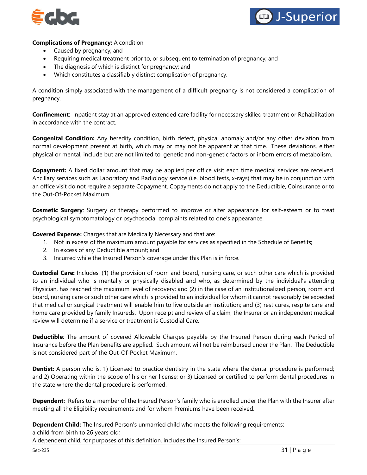



#### **Complications of Pregnancy:** A condition

- Caused by pregnancy; and
- Requiring medical treatment prior to, or subsequent to termination of pregnancy; and
- The diagnosis of which is distinct for pregnancy; and
- Which constitutes a classifiably distinct complication of pregnancy.

A condition simply associated with the management of a difficult pregnancy is not considered a complication of pregnancy.

**Confinement**: Inpatient stay at an approved extended care facility for necessary skilled treatment or Rehabilitation in accordance with the contract.

**Congenital Condition:** Any heredity condition, birth defect, physical anomaly and/or any other deviation from normal development present at birth, which may or may not be apparent at that time. These deviations, either physical or mental, include but are not limited to, genetic and non-genetic factors or inborn errors of metabolism.

**Copayment:** A fixed dollar amount that may be applied per office visit each time medical services are received. Ancillary services such as Laboratory and Radiology service (i.e. blood tests, x-rays) that may be in conjunction with an office visit do not require a separate Copayment. Copayments do not apply to the Deductible, Coinsurance or to the Out-Of-Pocket Maximum.

**Cosmetic Surgery**: Surgery or therapy performed to improve or alter appearance for self-esteem or to treat psychological symptomatology or psychosocial complaints related to one's appearance.

**Covered Expense:** Charges that are Medically Necessary and that are:

- 1. Not in excess of the maximum amount payable for services as specified in the Schedule of Benefits;
- 2. In excess of any Deductible amount; and
- 3. Incurred while the Insured Person's coverage under this Plan is in force.

**Custodial Care:** Includes: (1) the provision of room and board, nursing care, or such other care which is provided to an individual who is mentally or physically disabled and who, as determined by the individual's attending Physician, has reached the maximum level of recovery; and (2) in the case of an institutionalized person, room and board, nursing care or such other care which is provided to an individual for whom it cannot reasonably be expected that medical or surgical treatment will enable him to live outside an institution; and (3) rest cures, respite care and home care provided by family Insureds. Upon receipt and review of a claim, the Insurer or an independent medical review will determine if a service or treatment is Custodial Care.

**Deductible**: The amount of covered Allowable Charges payable by the Insured Person during each Period of Insurance before the Plan benefits are applied. Such amount will not be reimbursed under the Plan. The Deductible is not considered part of the Out-Of-Pocket Maximum.

**Dentist:** A person who is: 1) Licensed to practice dentistry in the state where the dental procedure is performed; and 2) Operating within the scope of his or her license; or 3) Licensed or certified to perform dental procedures in the state where the dental procedure is performed.

**Dependent:** Refers to a member of the Insured Person's family who is enrolled under the Plan with the Insurer after meeting all the Eligibility requirements and for whom Premiums have been received.

**Dependent Child:** The Insured Person's unmarried child who meets the following requirements:

a child from birth to 26 years old;

A dependent child, for purposes of this definition, includes the Insured Person's: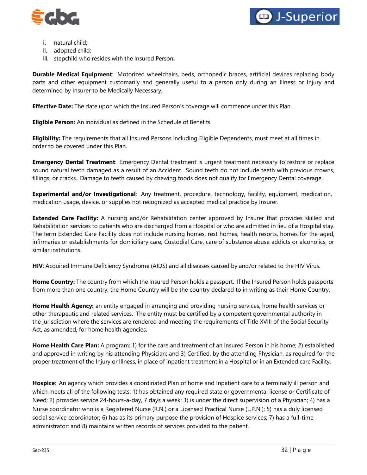



- i. natural child;
- ii. adopted child;
- iii. stepchild who resides with the Insured Person**.**

**Durable Medical Equipment**: Motorized wheelchairs, beds, orthopedic braces, artificial devices replacing body parts and other equipment customarily and generally useful to a person only during an Illness or Injury and determined by Insurer to be Medically Necessary.

**Effective Date:** The date upon which the Insured Person's coverage will commence under this Plan.

**Eligible Person:** An individual as defined in the Schedule of Benefits.

**Eligibility:** The requirements that all Insured Persons including Eligible Dependents, must meet at all times in order to be covered under this Plan.

**Emergency Dental Treatment**: Emergency Dental treatment is urgent treatment necessary to restore or replace sound natural teeth damaged as a result of an Accident. Sound teeth do not include teeth with previous crowns, fillings, or cracks. Damage to teeth caused by chewing foods does not qualify for Emergency Dental coverage.

**Experimental and/or Investigational**: Any treatment, procedure, technology, facility, equipment, medication, medication usage, device, or supplies not recognized as accepted medical practice by Insurer.

**Extended Care Facility:** A nursing and/or Rehabilitation center approved by Insurer that provides skilled and Rehabilitation services to patients who are discharged from a Hospital or who are admitted in lieu of a Hospital stay. The term Extended Care Facility does not include nursing homes, rest homes, health resorts, homes for the aged, infirmaries or establishments for domiciliary care, Custodial Care, care of substance abuse addicts or alcoholics, or similar institutions.

**HIV**: Acquired Immune Deficiency Syndrome (AIDS) and all diseases caused by and/or related to the HIV Virus.

**Home Country:** The country from which the Insured Person holds a passport. If the Insured Person holds passports from more than one country, the Home Country will be the country declared to in writing as their Home Country.

**Home Health Agency:** an entity engaged in arranging and providing nursing services, home health services or other therapeutic and related services. The entity must be certified by a competent governmental authority in the jurisdiction where the services are rendered and meeting the requirements of Title XVIII of the Social Security Act, as amended, for home health agencies.

**Home Health Care Plan:** A program: 1) for the care and treatment of an Insured Person in his home; 2) established and approved in writing by his attending Physician; and 3) Certified, by the attending Physician, as required for the proper treatment of the Injury or Illness, in place of Inpatient treatment in a Hospital or in an Extended care Facility.

**Hospice**: An agency which provides a coordinated Plan of home and Inpatient care to a terminally ill person and which meets all of the following tests: 1) has obtained any required state or governmental license or Certificate of Need; 2) provides service 24-hours-a-day, 7 days a week; 3) is under the direct supervision of a Physician; 4) has a Nurse coordinator who is a Registered Nurse (R.N.) or a Licensed Practical Nurse (L.P.N.); 5) has a duly licensed social service coordinator; 6) has as its primary purpose the provision of Hospice services; 7) has a full-time administrator; and 8) maintains written records of services provided to the patient.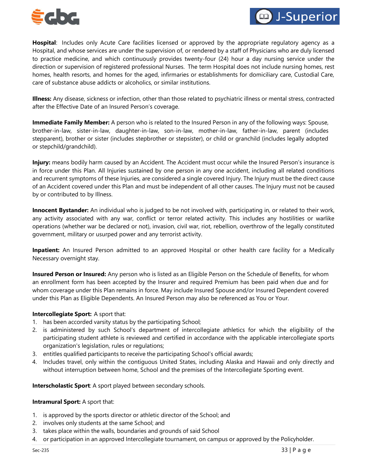



**Hospital**: Includes only Acute Care facilities licensed or approved by the appropriate regulatory agency as a Hospital, and whose services are under the supervision of, or rendered by a staff of Physicians who are duly licensed to practice medicine, and which continuously provides twenty-four (24) hour a day nursing service under the direction or supervision of registered professional Nurses. The term Hospital does not include nursing homes, rest homes, health resorts, and homes for the aged, infirmaries or establishments for domiciliary care, Custodial Care, care of substance abuse addicts or alcoholics, or similar institutions.

**Illness:** Any disease, sickness or infection, other than those related to psychiatric illness or mental stress, contracted after the Effective Date of an Insured Person's coverage.

**Immediate Family Member:** A person who is related to the Insured Person in any of the following ways: Spouse, brother-in-law, sister-in-law, daughter-in-law, son-in-law, mother-in-law, father-in-law, parent (includes stepparent), brother or sister (includes stepbrother or stepsister), or child or granchild (includes legally adopted or stepchild/grandchild).

**Injury:** means bodily harm caused by an Accident. The Accident must occur while the Insured Person's insurance is in force under this Plan. All Injuries sustained by one person in any one accident, including all related conditions and recurrent symptoms of these Injuries, are considered a single covered Injury. The Injury must be the direct cause of an Accident covered under this Plan and must be independent of all other causes. The Injury must not be caused by or contributed to by Illness.

**Innocent Bystander:** An individual who is judged to be not involved with, participating in, or related to their work, any activity associated with any war, conflict or terror related activity. This includes any hostilities or warlike operations (whether war be declared or not), invasion, civil war, riot, rebellion, overthrow of the legally constituted government, military or usurped power and any terrorist activity.

**Inpatient:** An Insured Person admitted to an approved Hospital or other health care facility for a Medically Necessary overnight stay.

**Insured Person or Insured:** Any person who is listed as an Eligible Person on the Schedule of Benefits, for whom an enrollment form has been accepted by the Insurer and required Premium has been paid when due and for whom coverage under this Plan remains in force. May include Insured Spouse and/or Insured Dependent covered under this Plan as Eligible Dependents. An Insured Person may also be referenced as You or Your.

#### **Intercollegiate Sport:** A sport that:

- 1. has been accorded varsity status by the participating School;
- 2. is administered by such School's department of intercollegiate athletics for which the eligibility of the participating student athlete is reviewed and certified in accordance with the applicable intercollegiate sports organization's legislation, rules or regulations;
- 3. entitles qualified participants to receive the participating School's official awards;
- 4. Includes travel, only within the contiguous United States, including Alaska and Hawaii and only directly and without interruption between home, School and the premises of the Intercollegiate Sporting event.

**Interscholastic Sport**: A sport played between secondary schools.

#### **Intramural Sport:** A sport that:

- 1. is approved by the sports director or athletic director of the School; and
- 2. involves only students at the same School; and
- 3. takes place within the walls, boundaries and grounds of said School
- 4. or participation in an approved Intercollegiate tournament, on campus or approved by the Policyholder.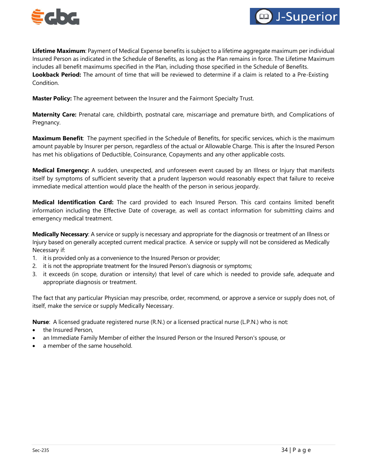



**Lifetime Maximum**: Payment of Medical Expense benefits is subject to a lifetime aggregate maximum per individual Insured Person as indicated in the Schedule of Benefits, as long as the Plan remains in force. The Lifetime Maximum includes all benefit maximums specified in the Plan, including those specified in the Schedule of Benefits. **Lookback Period:** The amount of time that will be reviewed to determine if a claim is related to a Pre-Existing Condition.

**Master Policy:** The agreement between the Insurer and the Fairmont Specialty Trust.

**Maternity Care:** Prenatal care, childbirth, postnatal care, miscarriage and premature birth, and Complications of Pregnancy.

**Maximum Benefit**: The payment specified in the Schedule of Benefits, for specific services, which is the maximum amount payable by Insurer per person, regardless of the actual or Allowable Charge. This is after the Insured Person has met his obligations of Deductible, Coinsurance, Copayments and any other applicable costs.

**Medical Emergency:** A sudden, unexpected, and unforeseen event caused by an Illness or Injury that manifests itself by symptoms of sufficient severity that a prudent layperson would reasonably expect that failure to receive immediate medical attention would place the health of the person in serious jeopardy.

**Medical Identification Card:** The card provided to each Insured Person. This card contains limited benefit information including the Effective Date of coverage, as well as contact information for submitting claims and emergency medical treatment.

**Medically Necessary**: A service or supply is necessary and appropriate for the diagnosis or treatment of an Illness or Injury based on generally accepted current medical practice. A service or supply will not be considered as Medically Necessary if:

- 1. it is provided only as a convenience to the Insured Person or provider;
- 2. it is not the appropriate treatment for the Insured Person's diagnosis or symptoms;
- 3. it exceeds (in scope, duration or intensity) that level of care which is needed to provide safe, adequate and appropriate diagnosis or treatment.

The fact that any particular Physician may prescribe, order, recommend, or approve a service or supply does not, of itself, make the service or supply Medically Necessary.

**Nurse**: A licensed graduate registered nurse (R.N.) or a licensed practical nurse (L.P.N.) who is not:

- the Insured Person,
- an Immediate Family Member of either the Insured Person or the Insured Person's spouse, or
- a member of the same household.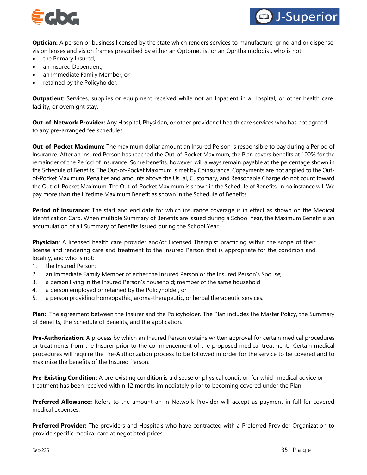



**Optician:** A person or business licensed by the state which renders services to manufacture, grind and or dispense vision lenses and vision frames prescribed by either an Optometrist or an Ophthalmologist, who is not:

- the Primary Insured,
- an Insured Dependent,
- an Immediate Family Member, or
- retained by the Policyholder.

**Outpatient**: Services, supplies or equipment received while not an Inpatient in a Hospital, or other health care facility, or overnight stay.

**Out-of-Network Provider:** Any Hospital, Physician, or other provider of health care services who has not agreed to any pre-arranged fee schedules.

**Out-of-Pocket Maximum:** The maximum dollar amount an Insured Person is responsible to pay during a Period of Insurance. After an Insured Person has reached the Out-of-Pocket Maximum, the Plan covers benefits at 100% for the remainder of the Period of Insurance. Some benefits, however, will always remain payable at the percentage shown in the Schedule of Benefits. The Out-of-Pocket Maximum is met by Coinsurance. Copayments are not applied to the Outof-Pocket Maximum. Penalties and amounts above the Usual, Customary, and Reasonable Charge do not count toward the Out-of-Pocket Maximum. The Out-of-Pocket Maximum is shown in the Schedule of Benefits. In no instance will We pay more than the Lifetime Maximum Benefit as shown in the Schedule of Benefits.

**Period of Insurance:** The start and end date for which insurance coverage is in effect as shown on the Medical Identification Card. When multiple Summary of Benefits are issued during a School Year, the Maximum Benefit is an accumulation of all Summary of Benefits issued during the School Year.

**Physician**: A licensed health care provider and/or Licensed Therapist practicing within the scope of their license and rendering care and treatment to the Insured Person that is appropriate for the condition and locality, and who is not:

- 1. the Insured Person;
- 2. an Immediate Family Member of either the Insured Person or the Insured Person's Spouse;
- 3. a person living in the Insured Person's household; member of the same household
- 4. a person employed or retained by the Policyholder; or
- 5. a person providing homeopathic, aroma-therapeutic, or herbal therapeutic services.

**Plan:** The agreement between the Insurer and the Policyholder. The Plan includes the Master Policy, the Summary of Benefits, the Schedule of Benefits, and the application.

**Pre-Authorization**: A process by which an Insured Person obtains written approval for certain medical procedures or treatments from the Insurer prior to the commencement of the proposed medical treatment. Certain medical procedures will require the Pre-Authorization process to be followed in order for the service to be covered and to maximize the benefits of the Insured Person.

**Pre-Existing Condition:** A pre-existing condition is a disease or physical condition for which medical advice or treatment has been received within 12 months immediately prior to becoming covered under the Plan

**Preferred Allowance:** Refers to the amount an In-Network Provider will accept as payment in full for covered medical expenses.

**Preferred Provider:** The providers and Hospitals who have contracted with a Preferred Provider Organization to provide specific medical care at negotiated prices.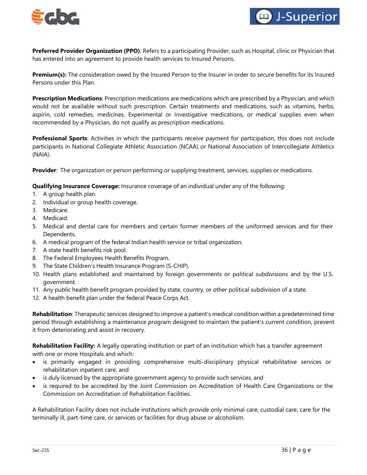



**Preferred Provider Organization (PPO)**: Refers to a participating Provider, such as Hospital, clinic or Physician that has entered into an agreement to provide health services to Insured Persons.

**Premium(s):** The consideration owed by the Insured Person to the Insurer in order to secure benefits for its Insured Persons under this Plan.

**Prescription Medications**: Prescription medications are medications which are prescribed by a Physician, and which would not be available without such prescription. Certain treatments and medications, such as vitamins, herbs, aspirin, cold remedies, medicines, Experimental or Investigative medications, or medical supplies even when recommended by a Physician, do not qualify as prescription medications.

**Professional Sports**: Activities in which the participants receive payment for participation, this does not include participants in National Collegiate Athletic Association (NCAA) or National Association of Intercollegiate Athletics (NAIA).

**Provider**: The organization or person performing or supplying treatment, services, supplies or medications.

**Qualifying Insurance Coverage:** Insurance coverage of an individual under any of the following:

- 1. A group health plan.
- 2. Individual or group health coverage.
- 3. Medicare.
- 4. Medicaid.
- 5. Medical and dental care for members and certain former members of the uniformed services and for their Dependents.
- 6. A medical program of the federal Indian health service or tribal organization.
- 7. A state health benefits risk pool.
- 8. The Federal Employees Health Benefits Program.
- 9. The State Children's Health Insurance Program (S-CHIP).
- 10. Health plans established and maintained by foreign governments or political subdivisions and by the U.S. government.
- 11. Any public health benefit program provided by state, country, or other political subdivision of a state.
- 12. A health benefit plan under the federal Peace Corps Act.

**Rehabilitation**: Therapeutic services designed to improve a patient's medical condition within a predetermined time period through establishing a maintenance program designed to maintain the patient's current condition, prevent it from deteriorating and assist in recovery.

**Rehabilitation Facility:** A legally operating institution or part of an institution which has a transfer agreement with one or more Hospitals and which:

- is primarily engaged in providing comprehensive multi-disciplinary physical rehabilitative services or rehabilitation inpatient care, and
- is duly licensed by the appropriate government agency to provide such services, and
- is required to be accredited by the Joint Commission on Accreditation of Health Care Organizations or the Commission on Accreditation of Rehabilitation Facilities.

A Rehabilitation Facility does not include institutions which provide only minimal care, custodial care, care for the terminally ill, part-time care, or services or facilities for drug abuse or alcoholism.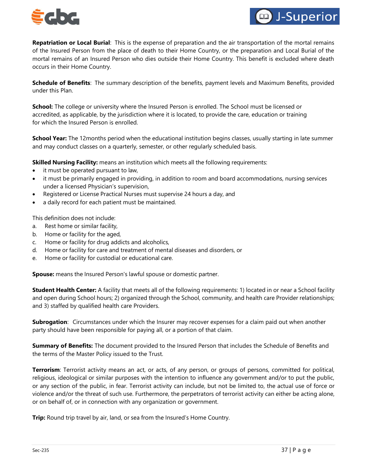



**Repatriation or Local Burial**: This is the expense of preparation and the air transportation of the mortal remains of the Insured Person from the place of death to their Home Country, or the preparation and Local Burial of the mortal remains of an Insured Person who dies outside their Home Country. This benefit is excluded where death occurs in their Home Country.

**Schedule of Benefits**: The summary description of the benefits, payment levels and Maximum Benefits, provided under this Plan.

**School:** The college or university where the Insured Person is enrolled. The School must be licensed or accredited, as applicable, by the jurisdiction where it is located, to provide the care, education or training for which the Insured Person is enrolled.

**School Year:** The 12months period when the educational institution begins classes, usually starting in late summer and may conduct classes on a quarterly, semester, or other regularly scheduled basis.

**Skilled Nursing Facility:** means an institution which meets all the following requirements:

- it must be operated pursuant to law,
- it must be primarily engaged in providing, in addition to room and board accommodations, nursing services under a licensed Physician's supervision,
- Registered or License Practical Nurses must supervise 24 hours a day, and
- a daily record for each patient must be maintained.

This definition does not include:

- a. Rest home or similar facility,
- b. Home or facility for the aged,
- c. Home or facility for drug addicts and alcoholics,
- d. Home or facility for care and treatment of mental diseases and disorders, or
- e. Home or facility for custodial or educational care.

**Spouse:** means the Insured Person's lawful spouse or domestic partner.

**Student Health Center:** A facility that meets all of the following requirements: 1) located in or near a School facility and open during School hours; 2) organized through the School, community, and health care Provider relationships; and 3) staffed by qualified health care Providers.

**Subrogation**: Circumstances under which the Insurer may recover expenses for a claim paid out when another party should have been responsible for paying all, or a portion of that claim.

**Summary of Benefits:** The document provided to the Insured Person that includes the Schedule of Benefits and the terms of the Master Policy issued to the Trust.

**Terrorism**: Terrorist activity means an act, or acts, of any person, or groups of persons, committed for political, religious, ideological or similar purposes with the intention to influence any government and/or to put the public, or any section of the public, in fear. Terrorist activity can include, but not be limited to, the actual use of force or violence and/or the threat of such use. Furthermore, the perpetrators of terrorist activity can either be acting alone, or on behalf of, or in connection with any organization or government.

**Trip:** Round trip travel by air, land, or sea from the Insured's Home Country.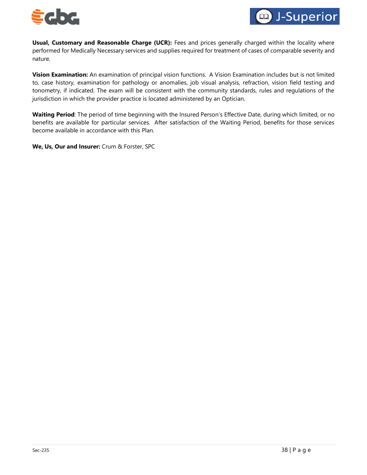



**Usual, Customary and Reasonable Charge (UCR):** Fees and prices generally charged within the locality where performed for Medically Necessary services and supplies required for treatment of cases of comparable severity and nature.

**Vision Examination:** An examination of principal vision functions. A Vision Examination includes but is not limited to, case history, examination for pathology or anomalies, job visual analysis, refraction, vision field testing and tonometry, if indicated. The exam will be consistent with the community standards, rules and regulations of the jurisdiction in which the provider practice is located administered by an Optician.

**Waiting Period**: The period of time beginning with the Insured Person's Effective Date, during which limited, or no benefits are available for particular services. After satisfaction of the Waiting Period, benefits for those services become available in accordance with this Plan.

**We, Us, Our and Insurer:** Crum & Forster, SPC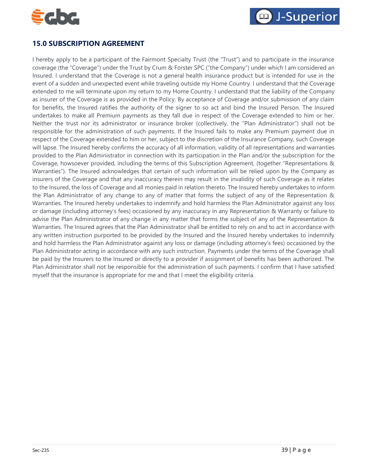



# <span id="page-38-0"></span>**15.0 SUBSCRIPTION AGREEMENT**

I hereby apply to be a participant of the Fairmont Specialty Trust (the "Trust") and to participate in the insurance coverage (the "Coverage") under the Trust by Crum & Forster SPC ("the Company") under which I am considered an Insured. I understand that the Coverage is not a general health insurance product but is intended for use in the event of a sudden and unexpected event while traveling outside my Home Country. I understand that the Coverage extended to me will terminate upon my return to my Home Country. I understand that the liability of the Company as insurer of the Coverage is as provided in the Policy. By acceptance of Coverage and/or submission of any claim for benefits, the Insured ratifies the authority of the signer to so act and bind the Insured Person. The Insured undertakes to make all Premium payments as they fall due in respect of the Coverage extended to him or her. Neither the trust nor its administrator or insurance broker (collectively, the "Plan Administrator") shall not be responsible for the administration of such payments. If the Insured fails to make any Premium payment due in respect of the Coverage extended to him or her, subject to the discretion of the Insurance Company, such Coverage will lapse. The Insured hereby confirms the accuracy of all information, validity of all representations and warranties provided to the Plan Administrator in connection with its participation in the Plan and/or the subscription for the Coverage, howsoever provided, including the terms of this Subscription Agreement, (together "Representations & Warranties"). The Insured acknowledges that certain of such information will be relied upon by the Company as insurers of the Coverage and that any inaccuracy therein may result in the invalidity of such Coverage as it relates to the Insured, the loss of Coverage and all monies paid in relation thereto. The Insured hereby undertakes to inform the Plan Administrator of any change to any of matter that forms the subject of any of the Representation & Warranties. The Insured hereby undertakes to indemnify and hold harmless the Plan Administrator against any loss or damage (including attorney's fees) occasioned by any inaccuracy in any Representation & Warranty or failure to advise the Plan Administrator of any change in any matter that forms the subject of any of the Representation & Warranties. The Insured agrees that the Plan Administrator shall be entitled to rely on and to act in accordance with any written instruction purported to be provided by the Insured and the Insured hereby undertakes to indemnify and hold harmless the Plan Administrator against any loss or damage (including attorney's fees) occasioned by the Plan Administrator acting in accordance with any such instruction. Payments under the terms of the Coverage shall be paid by the Insurers to the Insured or directly to a provider if assignment of benefits has been authorized. The Plan Administrator shall not be responsible for the administration of such payments. I confirm that I have satisfied myself that the insurance is appropriate for me and that I meet the eligibility criteria.